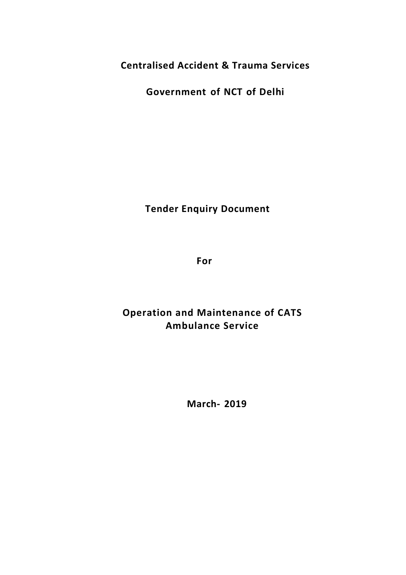**Centralised Accident & Trauma Services**

**Government of NCT of Delhi**

**Tender Enquiry Document**

**For** 

# **Operation and Maintenance of CATS Ambulance Service**

**March- 2019**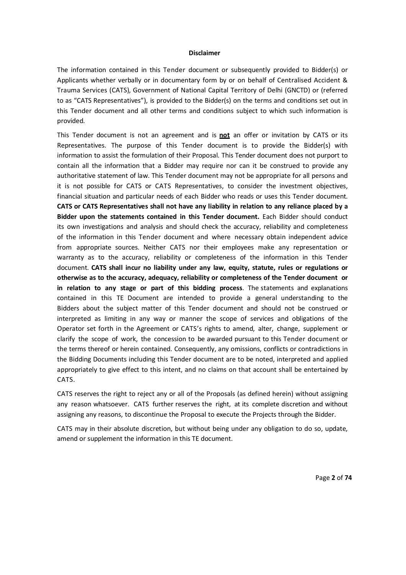#### **Disclaimer**

The information contained in this Tender document or subsequently provided to Bidder(s) or Applicants whether verbally or in documentary form by or on behalf of Centralised Accident & Trauma Services (CATS), Government of National Capital Territory of Delhi (GNCTD) or (referred to as "CATS Representatives"), is provided to the Bidder(s) on the terms and conditions set out in this Tender document and all other terms and conditions subject to which such information is provided.

This Tender document is not an agreement and is **not** an offer or invitation by CATS or its Representatives. The purpose of this Tender document is to provide the Bidder(s) with information to assist the formulation of their Proposal. This Tender document does not purport to contain all the information that a Bidder may require nor can it be construed to provide any authoritative statement of law. This Tender document may not be appropriate for all persons and it is not possible for CATS or CATS Representatives, to consider the investment objectives, financial situation and particular needs of each Bidder who reads or uses this Tender document. **CATS or CATS Representatives shall not have any liability in relation to any reliance placed by a Bidder upon the statements contained in this Tender document.** Each Bidder should conduct its own investigations and analysis and should check the accuracy, reliability and completeness of the information in this Tender document and where necessary obtain independent advice from appropriate sources. Neither CATS nor their employees make any representation or warranty as to the accuracy, reliability or completeness of the information in this Tender document. **CATS shall incur no liability under any law, equity, statute, rules or regulations or otherwise as to the accuracy, adequacy, reliability or completeness of the Tender document or in relation to any stage or part of this bidding process**. The statements and explanations contained in this TE Document are intended to provide a general understanding to the Bidders about the subject matter of this Tender document and should not be construed or interpreted as limiting in any way or manner the scope of services and obligations of the Operator set forth in the Agreement or CATS's rights to amend, alter, change, supplement or clarify the scope of work, the concession to be awarded pursuant to this Tender document or the terms thereof or herein contained. Consequently, any omissions, conflicts or contradictions in the Bidding Documents including this Tender document are to be noted, interpreted and applied appropriately to give effect to this intent, and no claims on that account shall be entertained by CATS.

CATS reserves the right to reject any or all of the Proposals (as defined herein) without assigning any reason whatsoever. CATS further reserves the right, at its complete discretion and without assigning any reasons, to discontinue the Proposal to execute the Projects through the Bidder.

CATS may in their absolute discretion, but without being under any obligation to do so, update, amend or supplement the information in this TE document.

Page **2** of **74**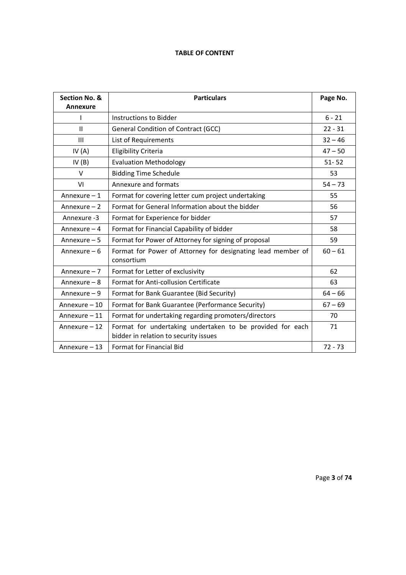# **TABLE OF CONTENT**

| Section No. &<br><b>Annexure</b> | <b>Particulars</b>                                                                                 | Page No.  |
|----------------------------------|----------------------------------------------------------------------------------------------------|-----------|
| I                                | Instructions to Bidder                                                                             | $6 - 21$  |
| $\mathbf{H}$                     | <b>General Condition of Contract (GCC)</b>                                                         | $22 - 31$ |
| $\mathbf{III}$                   | List of Requirements                                                                               | $32 - 46$ |
| IV $(A)$                         | Eligibility Criteria                                                                               | $47 - 50$ |
| IV(B)                            | <b>Evaluation Methodology</b>                                                                      | $51 - 52$ |
| $\vee$                           | <b>Bidding Time Schedule</b>                                                                       | 53        |
| VI                               | Annexure and formats                                                                               | $54 - 73$ |
| Annexure - 1                     | Format for covering letter cum project undertaking                                                 | 55        |
| Annexure - 2                     | Format for General Information about the bidder                                                    | 56        |
| Annexure -3                      | Format for Experience for bidder                                                                   | 57        |
| Annexure $-4$                    | Format for Financial Capability of bidder                                                          | 58        |
| Annexure $-5$                    | Format for Power of Attorney for signing of proposal                                               | 59        |
| Annexure $-6$                    | Format for Power of Attorney for designating lead member of<br>consortium                          | $60 - 61$ |
| Annexure - 7                     | Format for Letter of exclusivity                                                                   | 62        |
| Annexure - 8                     | Format for Anti-collusion Certificate                                                              | 63        |
| Annexure $-9$                    | Format for Bank Guarantee (Bid Security)                                                           | $64 - 66$ |
| Annexure – 10                    | Format for Bank Guarantee (Performance Security)                                                   | $67 - 69$ |
| Annexure - 11                    | Format for undertaking regarding promoters/directors                                               | 70        |
| Annexure - 12                    | Format for undertaking undertaken to be provided for each<br>bidder in relation to security issues | 71        |
| Annexure - 13                    | Format for Financial Bid                                                                           | $72 - 73$ |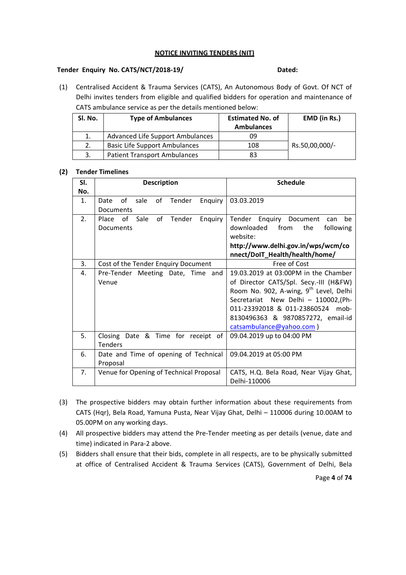#### **NOTICE INVITING TENDERS (NIT)**

#### **Tender Enquiry No. CATS/NCT/2018-19/ Dated:**

(1) Centralised Accident & Trauma Services (CATS), An Autonomous Body of Govt. Of NCT of Delhi invites tenders from eligible and qualified bidders for operation and maintenance of CATS ambulance service as per the details mentioned below:

| SI. No. | <b>Type of Ambulances</b>            | <b>Estimated No. of</b><br><b>Ambulances</b> | EMD (in Rs.)   |
|---------|--------------------------------------|----------------------------------------------|----------------|
| 1.      | Advanced Life Support Ambulances     | 09                                           |                |
|         | <b>Basic Life Support Ambulances</b> | 108                                          | Rs.50,00,000/- |
| 3.      | <b>Patient Transport Ambulances</b>  | 83                                           |                |

#### **(2) Tender Timelines**

| SI. | <b>Description</b>                                       | <b>Schedule</b>                                                                                                                  |  |
|-----|----------------------------------------------------------|----------------------------------------------------------------------------------------------------------------------------------|--|
| No. |                                                          |                                                                                                                                  |  |
| 1.  | of<br>of Tender<br>sale<br>Enquiry<br>Date<br>Documents  | 03.03.2019                                                                                                                       |  |
| 2.  | Sale<br>of Tender<br>Enquiry<br>Place<br>of<br>Documents | Tender Enquiry Document<br>be<br>can<br>downloaded<br>from<br>the<br>following<br>website:<br>http://www.delhi.gov.in/wps/wcm/co |  |
|     |                                                          | nnect/DoIT_Health/health/home/                                                                                                   |  |
| 3.  | Cost of the Tender Enquiry Document                      | Free of Cost                                                                                                                     |  |
| 4.  | Pre-Tender Meeting Date, Time and                        | 19.03.2019 at 03:00PM in the Chamber                                                                                             |  |
|     | Venue                                                    | of Director CATS/Spl. Secy.-III (H&FW)                                                                                           |  |
|     |                                                          | Room No. 902, A-wing, 9 <sup>th</sup> Level, Delhi                                                                               |  |
|     |                                                          | Secretariat New Delhi - 110002, (Ph-                                                                                             |  |
|     |                                                          | 011-23392018 & 011-23860524 mob-                                                                                                 |  |
|     |                                                          | 8130496363 & 9870857272, email-id                                                                                                |  |
|     |                                                          | catsambulance@yahoo.com)                                                                                                         |  |
| 5.  | Closing Date & Time for receipt of                       | 09.04.2019 up to 04:00 PM                                                                                                        |  |
|     | <b>Tenders</b>                                           |                                                                                                                                  |  |
| 6.  | Date and Time of opening of Technical                    | 09.04.2019 at 05:00 PM                                                                                                           |  |
|     | Proposal                                                 |                                                                                                                                  |  |
| 7.  | Venue for Opening of Technical Proposal                  | CATS, H.Q. Bela Road, Near Vijay Ghat,                                                                                           |  |
|     |                                                          | Delhi-110006                                                                                                                     |  |

- (3) The prospective bidders may obtain further information about these requirements from CATS (Hqr), Bela Road, Yamuna Pusta, Near Vijay Ghat, Delhi – 110006 during 10.00AM to 05.00PM on any working days.
- (4) All prospective bidders may attend the Pre-Tender meeting as per details (venue, date and time) indicated in Para-2 above.
- (5) Bidders shall ensure that their bids, complete in all respects, are to be physically submitted at office of Centralised Accident & Trauma Services (CATS), Government of Delhi, Bela

Page **4** of **74**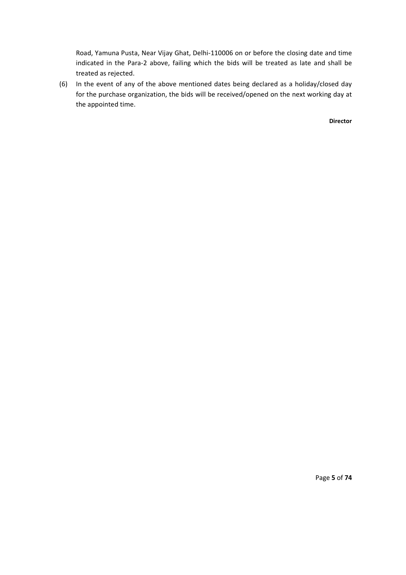Road, Yamuna Pusta, Near Vijay Ghat, Delhi-110006 on or before the closing date and time indicated in the Para-2 above, failing which the bids will be treated as late and shall be treated as rejected.

(6) In the event of any of the above mentioned dates being declared as a holiday/closed day for the purchase organization, the bids will be received/opened on the next working day at the appointed time.

**Director**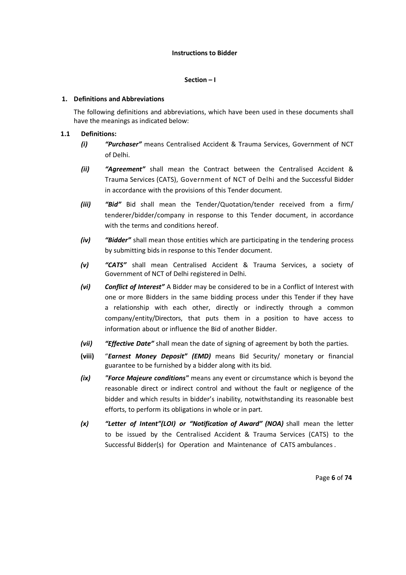#### **Instructions to Bidder**

#### **Section – I**

#### **1. Definitions and Abbreviations**

The following definitions and abbreviations, which have been used in these documents shall have the meanings as indicated below:

#### **1.1 Definitions:**

- *(i) "Purchaser"* means Centralised Accident & Trauma Services, Government of NCT of Delhi.
- *(ii) "Agreement"* shall mean the Contract between the Centralised Accident & Trauma Services (CATS), Government of NCT of Delhi and the Successful Bidder in accordance with the provisions of this Tender document.
- *(iii) "Bid"* Bid shall mean the Tender/Quotation/tender received from a firm/ tenderer/bidder/company in response to this Tender document, in accordance with the terms and conditions hereof.
- *(iv) "Bidder"* shall mean those entities which are participating in the tendering process by submitting bids in response to this Tender document.
- *(v) "CATS"* shall mean Centralised Accident & Trauma Services, a society of Government of NCT of Delhi registered in Delhi.
- *(vi) Conflict of Interest"* A Bidder may be considered to be in a Conflict of Interest with one or more Bidders in the same bidding process under this Tender if they have a relationship with each other, directly or indirectly through a common company/entity/Directors, that puts them in a position to have access to information about or influence the Bid of another Bidder.
- *(vii) "Effective Date"* shall mean the date of signing of agreement by both the parties.
- **(viii)** "*Earnest Money Deposit" (EMD)* means Bid Security/ monetary or financial guarantee to be furnished by a bidder along with its bid.
- *(ix) "Force Majeure conditions"* means any event or circumstance which is beyond the reasonable direct or indirect control and without the fault or negligence of the bidder and which results in bidder's inability, notwithstanding its reasonable best efforts, to perform its obligations in whole or in part.
- *(x) "Letter of Intent"(LOI) or "Notification of Award" (NOA)* shall mean the letter to be issued by the Centralised Accident & Trauma Services (CATS) to the Successful Bidder(s) for Operation and Maintenance of CATS ambulances .

Page **6** of **74**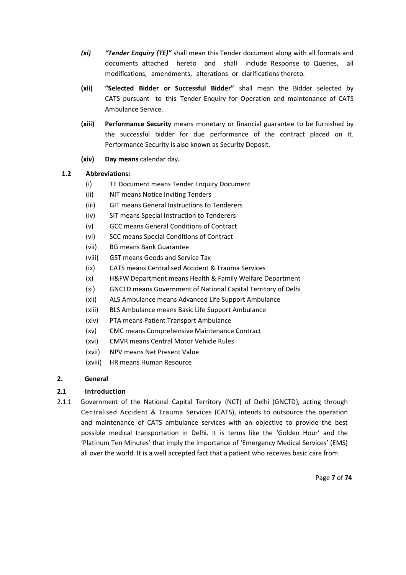- *(xi) "Tender Enquiry (TE)"* shall mean this Tender document along with all formats and documents attached hereto and shall include Response to Queries, all modifications, amendments, alterations or clarifications thereto.
- **(xii) "Selected Bidder or Successful Bidder"** shall mean the Bidder selected by CATS pursuant to this Tender Enquiry for Operation and maintenance of CATS Ambulance Service.
- **(xiii) Performance Security** means monetary or financial guarantee to be furnished by the successful bidder for due performance of the contract placed on it. Performance Security is also known as Security Deposit.
- **(xiv) Day means** calendar day**.**

# **1.2 Abbreviations:**

- (i) TE Document means Tender Enquiry Document
- (ii) NIT means Notice Inviting Tenders
- (iii) GIT means General Instructions to Tenderers
- (iv) SIT means Special Instruction to Tenderers
- (v) GCC means General Conditions of Contract
- (vi) SCC means Special Conditions of Contract
- (vii) BG means Bank Guarantee
- (viii) GST means Goods and Service Tax
- (ix) CATS means Centralised Accident & Trauma Services
- (x) H&FW Department means Health & Family Welfare Department
- (xi) GNCTD means Government of National Capital Territory of Delhi
- (xii) ALS Ambulance means Advanced Life Support Ambulance
- (xiii) BLS Ambulance means Basic Life Support Ambulance
- (xiv) PTA means Patient Transport Ambulance
- (xv) CMC means Comprehensive Maintenance Contract
- (xvi) CMVR means Central Motor Vehicle Rules
- (xvii) NPV means Net Present Value
- (xviii) HR means Human Resource

### **2. General**

# **2.1 Introduction**

2.1.1 Government of the National Capital Territory (NCT) of Delhi (GNCTD), acting through Centralised Accident & Trauma Services (CATS), intends to outsource the operation and maintenance of CATS ambulance services with an objective to provide the best possible medical transportation in Delhi. It is terms like the 'Golden Hour' and the 'Platinum Ten Minutes' that imply the importance of 'Emergency Medical Services' (EMS) all over the world. It is a well accepted fact that a patient who receives basic care from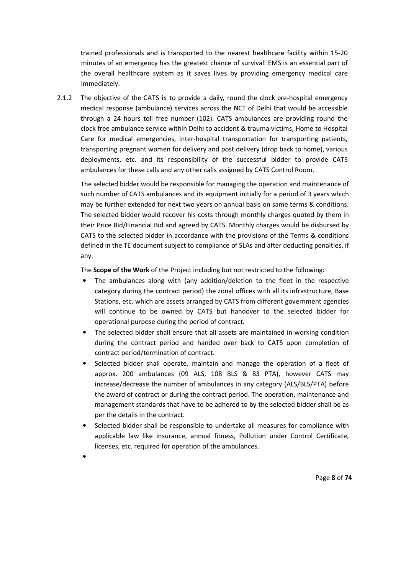trained professionals and is transported to the nearest healthcare facility within 15-20 minutes of an emergency has the greatest chance of survival. EMS is an essential part of the overall healthcare system as it saves lives by providing emergency medical care immediately.

2.1.2 The objective of the CATS is to provide a daily, round the clock pre-hospital emergency medical response (ambulance) services across the NCT of Delhi that would be accessible through a 24 hours toll free number (102). CATS ambulances are providing round the clock free ambulance service within Delhi to accident & trauma victims, Home to Hospital Care for medical emergencies, inter-hospital transportation for transporting patients, transporting pregnant women for delivery and post delivery (drop back to home), various deployments, etc. and its responsibility of the successful bidder to provide CATS ambulances for these calls and any other calls assigned by CATS Control Room.

The selected bidder would be responsible for managing the operation and maintenance of such number of CATS ambulances and its equipment initially for a period of 3 years which may be further extended for next two years on annual basis on same terms & conditions. The selected bidder would recover his costs through monthly charges quoted by them in their Price Bid/Financial Bid and agreed by CATS. Monthly charges would be disbursed by CATS to the selected bidder in accordance with the provisions of the Terms & conditions defined in the TE document subject to compliance of SLAs and after deducting penalties, if any.

The **Scope of the Work** of the Project including but not restricted to the following:

- The ambulances along with (any addition/deletion to the fleet in the respective category during the contract period) the zonal offices with all its infrastructure, Base Stations, etc. which are assets arranged by CATS from different government agencies will continue to be owned by CATS but handover to the selected bidder for operational purpose during the period of contract.
- The selected bidder shall ensure that all assets are maintained in working condition during the contract period and handed over back to CATS upon completion of contract period/termination of contract.
- Selected bidder shall operate, maintain and manage the operation of a fleet of approx. 200 ambulances (09 ALS, 108 BLS & 83 PTA), however CATS may increase/decrease the number of ambulances in any category (ALS/BLS/PTA) before the award of contract or during the contract period. The operation, maintenance and management standards that have to be adhered to by the selected bidder shall be as per the details in the contract.
- Selected bidder shall be responsible to undertake all measures for compliance with applicable law like insurance, annual fitness, Pollution under Control Certificate, licenses, etc. required for operation of the ambulances.
- •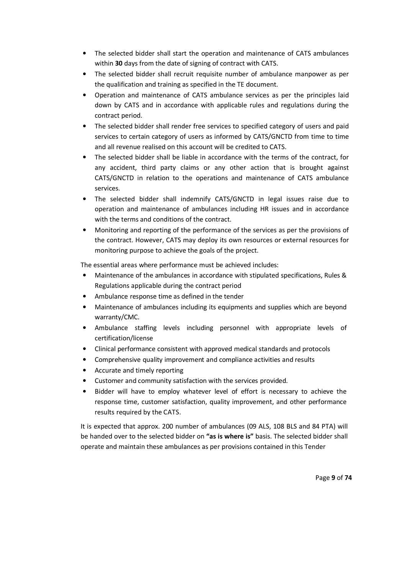- The selected bidder shall start the operation and maintenance of CATS ambulances within **30** days from the date of signing of contract with CATS.
- The selected bidder shall recruit requisite number of ambulance manpower as per the qualification and training as specified in the TE document.
- Operation and maintenance of CATS ambulance services as per the principles laid down by CATS and in accordance with applicable rules and regulations during the contract period.
- The selected bidder shall render free services to specified category of users and paid services to certain category of users as informed by CATS/GNCTD from time to time and all revenue realised on this account will be credited to CATS.
- The selected bidder shall be liable in accordance with the terms of the contract, for any accident, third party claims or any other action that is brought against CATS/GNCTD in relation to the operations and maintenance of CATS ambulance services.
- The selected bidder shall indemnify CATS/GNCTD in legal issues raise due to operation and maintenance of ambulances including HR issues and in accordance with the terms and conditions of the contract.
- Monitoring and reporting of the performance of the services as per the provisions of the contract. However, CATS may deploy its own resources or external resources for monitoring purpose to achieve the goals of the project.

The essential areas where performance must be achieved includes:

- Maintenance of the ambulances in accordance with stipulated specifications, Rules & Regulations applicable during the contract period
- Ambulance response time as defined in the tender
- Maintenance of ambulances including its equipments and supplies which are beyond warranty/CMC.
- Ambulance staffing levels including personnel with appropriate levels of certification/license
- Clinical performance consistent with approved medical standards and protocols
- Comprehensive quality improvement and compliance activities and results
- Accurate and timely reporting
- Customer and community satisfaction with the services provided.
- Bidder will have to employ whatever level of effort is necessary to achieve the response time, customer satisfaction, quality improvement, and other performance results required by the CATS.

It is expected that approx. 200 number of ambulances (09 ALS, 108 BLS and 84 PTA) will be handed over to the selected bidder on **"as is where is"** basis. The selected bidder shall operate and maintain these ambulances as per provisions contained in this Tender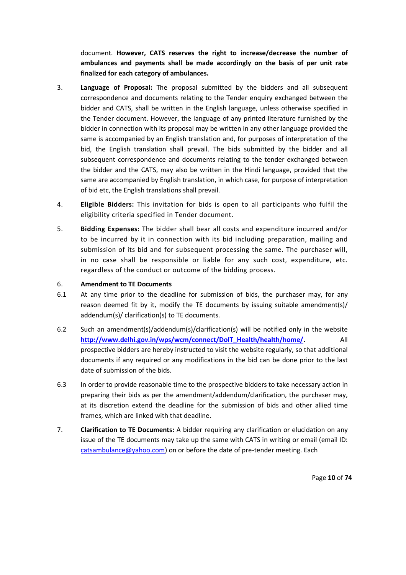document. **However, CATS reserves the right to increase/decrease the number of ambulances and payments shall be made accordingly on the basis of per unit rate finalized for each category of ambulances.** 

- 3. **Language of Proposal:** The proposal submitted by the bidders and all subsequent correspondence and documents relating to the Tender enquiry exchanged between the bidder and CATS, shall be written in the English language, unless otherwise specified in the Tender document. However, the language of any printed literature furnished by the bidder in connection with its proposal may be written in any other language provided the same is accompanied by an English translation and, for purposes of interpretation of the bid, the English translation shall prevail. The bids submitted by the bidder and all subsequent correspondence and documents relating to the tender exchanged between the bidder and the CATS, may also be written in the Hindi language, provided that the same are accompanied by English translation, in which case, for purpose of interpretation of bid etc, the English translations shall prevail.
- 4. **Eligible Bidders:** This invitation for bids is open to all participants who fulfil the eligibility criteria specified in Tender document.
- 5. **Bidding Expenses:** The bidder shall bear all costs and expenditure incurred and/or to be incurred by it in connection with its bid including preparation, mailing and submission of its bid and for subsequent processing the same. The purchaser will, in no case shall be responsible or liable for any such cost, expenditure, etc. regardless of the conduct or outcome of the bidding process.

### 6. **Amendment to TE Documents**

- 6.1 At any time prior to the deadline for submission of bids, the purchaser may, for any reason deemed fit by it, modify the TE documents by issuing suitable amendment(s)/ addendum(s)/ clarification(s) to TE documents.
- 6.2 Such an amendment(s)/addendum(s)/clarification(s) will be notified only in the website **http://www.delhi.gov.in/wps/wcm/connect/DoIT\_Health/health/home/.** All prospective bidders are hereby instructed to visit the website regularly, so that additional documents if any required or any modifications in the bid can be done prior to the last date of submission of the bids.
- 6.3 In order to provide reasonable time to the prospective bidders to take necessary action in preparing their bids as per the amendment/addendum/clarification, the purchaser may, at its discretion extend the deadline for the submission of bids and other allied time frames, which are linked with that deadline.
- 7. **Clarification to TE Documents:** A bidder requiring any clarification or elucidation on any issue of the TE documents may take up the same with CATS in writing or email (email ID: catsambulance@yahoo.com) on or before the date of pre-tender meeting. Each

Page **10** of **74**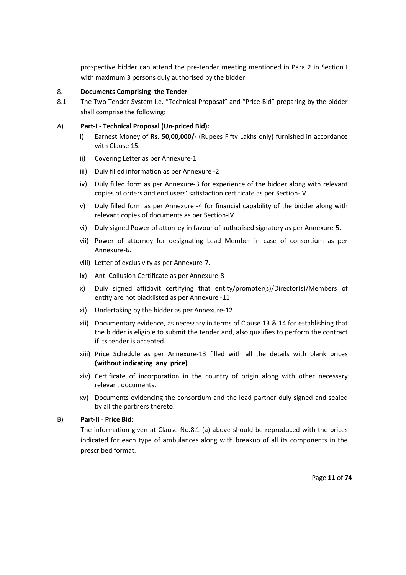prospective bidder can attend the pre-tender meeting mentioned in Para 2 in Section I with maximum 3 persons duly authorised by the bidder.

#### 8. **Documents Comprising the Tender**

8.1 The Two Tender System i.e. "Technical Proposal" and "Price Bid" preparing by the bidder shall comprise the following:

#### A) **Part-I** - **Technical Proposal (Un-priced Bid):**

- i) Earnest Money of **Rs. 50,00,000/-** (Rupees Fifty Lakhs only) furnished in accordance with Clause 15.
- ii) Covering Letter as per Annexure-1
- iii) Duly filled information as per Annexure -2
- iv) Duly filled form as per Annexure-3 for experience of the bidder along with relevant copies of orders and end users' satisfaction certificate as per Section-IV.
- v) Duly filled form as per Annexure -4 for financial capability of the bidder along with relevant copies of documents as per Section-IV.
- vi) Duly signed Power of attorney in favour of authorised signatory as per Annexure-5.
- vii) Power of attorney for designating Lead Member in case of consortium as per Annexure-6.
- viii) Letter of exclusivity as per Annexure-7.
- ix) Anti Collusion Certificate as per Annexure-8
- x) Duly signed affidavit certifying that entity/promoter(s)/Director(s)/Members of entity are not blacklisted as per Annexure -11
- xi) Undertaking by the bidder as per Annexure-12
- xii) Documentary evidence, as necessary in terms of Clause 13 & 14 for establishing that the bidder is eligible to submit the tender and, also qualifies to perform the contract if its tender is accepted.
- xiii) Price Schedule as per Annexure-13 filled with all the details with blank prices **(without indicating any price)**
- xiv) Certificate of incorporation in the country of origin along with other necessary relevant documents.
- xv) Documents evidencing the consortium and the lead partner duly signed and sealed by all the partners thereto.

### B) **Part-II** - **Price Bid:**

 The information given at Clause No.8.1 (a) above should be reproduced with the prices indicated for each type of ambulances along with breakup of all its components in the prescribed format.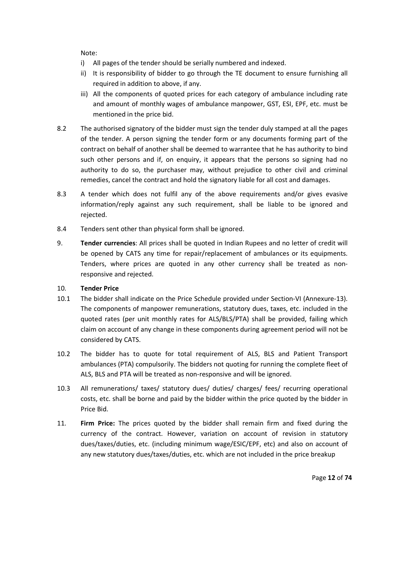Note:

- i) All pages of the tender should be serially numbered and indexed.
- ii) It is responsibility of bidder to go through the TE document to ensure furnishing all required in addition to above, if any.
- iii) All the components of quoted prices for each category of ambulance including rate and amount of monthly wages of ambulance manpower, GST, ESI, EPF, etc. must be mentioned in the price bid.
- 8.2 The authorised signatory of the bidder must sign the tender duly stamped at all the pages of the tender. A person signing the tender form or any documents forming part of the contract on behalf of another shall be deemed to warrantee that he has authority to bind such other persons and if, on enquiry, it appears that the persons so signing had no authority to do so, the purchaser may, without prejudice to other civil and criminal remedies, cancel the contract and hold the signatory liable for all cost and damages.
- 8.3 A tender which does not fulfil any of the above requirements and/or gives evasive information/reply against any such requirement, shall be liable to be ignored and rejected.
- 8.4 Tenders sent other than physical form shall be ignored.
- 9. **Tender currencies**: All prices shall be quoted in Indian Rupees and no letter of credit will be opened by CATS any time for repair/replacement of ambulances or its equipments. Tenders, where prices are quoted in any other currency shall be treated as nonresponsive and rejected.

#### 10. **Tender Price**

- 10.1 The bidder shall indicate on the Price Schedule provided under Section-VI (Annexure-13). The components of manpower remunerations, statutory dues, taxes, etc. included in the quoted rates (per unit monthly rates for ALS/BLS/PTA) shall be provided, failing which claim on account of any change in these components during agreement period will not be considered by CATS.
- 10.2 The bidder has to quote for total requirement of ALS, BLS and Patient Transport ambulances (PTA) compulsorily. The bidders not quoting for running the complete fleet of ALS, BLS and PTA will be treated as non-responsive and will be ignored.
- 10.3 All remunerations/ taxes/ statutory dues/ duties/ charges/ fees/ recurring operational costs, etc. shall be borne and paid by the bidder within the price quoted by the bidder in Price Bid.
- 11. **Firm Price:** The prices quoted by the bidder shall remain firm and fixed during the currency of the contract. However, variation on account of revision in statutory dues/taxes/duties, etc. (including minimum wage/ESIC/EPF, etc) and also on account of any new statutory dues/taxes/duties, etc. which are not included in the price breakup

Page **12** of **74**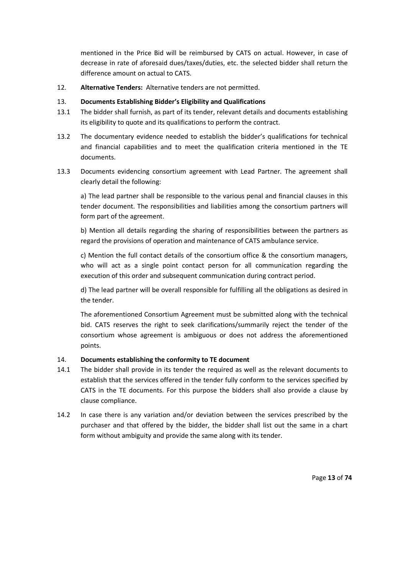mentioned in the Price Bid will be reimbursed by CATS on actual. However, in case of decrease in rate of aforesaid dues/taxes/duties, etc. the selected bidder shall return the difference amount on actual to CATS.

12. **Alternative Tenders:** Alternative tenders are not permitted.

# 13. **Documents Establishing Bidder's Eligibility and Qualifications**

- 13.1 The bidder shall furnish, as part of its tender, relevant details and documents establishing its eligibility to quote and its qualifications to perform the contract.
- 13.2 The documentary evidence needed to establish the bidder's qualifications for technical and financial capabilities and to meet the qualification criteria mentioned in the TE documents.
- 13.3 Documents evidencing consortium agreement with Lead Partner. The agreement shall clearly detail the following:

 a) The lead partner shall be responsible to the various penal and financial clauses in this tender document. The responsibilities and liabilities among the consortium partners will form part of the agreement.

 b) Mention all details regarding the sharing of responsibilities between the partners as regard the provisions of operation and maintenance of CATS ambulance service.

 c) Mention the full contact details of the consortium office & the consortium managers, who will act as a single point contact person for all communication regarding the execution of this order and subsequent communication during contract period.

 d) The lead partner will be overall responsible for fulfilling all the obligations as desired in the tender.

 The aforementioned Consortium Agreement must be submitted along with the technical bid. CATS reserves the right to seek clarifications/summarily reject the tender of the consortium whose agreement is ambiguous or does not address the aforementioned points.

# 14. **Documents establishing the conformity to TE document**

- 14.1 The bidder shall provide in its tender the required as well as the relevant documents to establish that the services offered in the tender fully conform to the services specified by CATS in the TE documents. For this purpose the bidders shall also provide a clause by clause compliance.
- 14.2 In case there is any variation and/or deviation between the services prescribed by the purchaser and that offered by the bidder, the bidder shall list out the same in a chart form without ambiguity and provide the same along with its tender.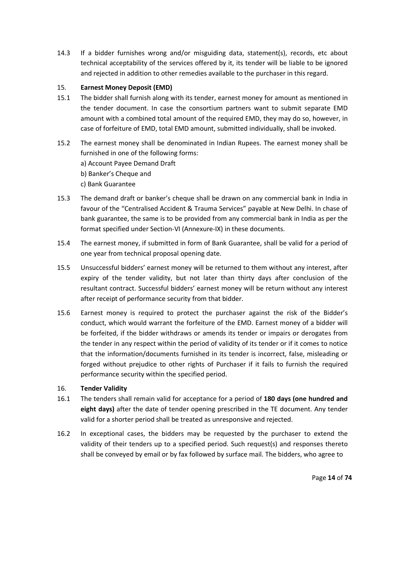14.3 If a bidder furnishes wrong and/or misguiding data, statement(s), records, etc about technical acceptability of the services offered by it, its tender will be liable to be ignored and rejected in addition to other remedies available to the purchaser in this regard.

# 15. **Earnest Money Deposit (EMD)**

- 15.1 The bidder shall furnish along with its tender, earnest money for amount as mentioned in the tender document. In case the consortium partners want to submit separate EMD amount with a combined total amount of the required EMD, they may do so, however, in case of forfeiture of EMD, total EMD amount, submitted individually, shall be invoked.
- 15.2 The earnest money shall be denominated in Indian Rupees. The earnest money shall be furnished in one of the following forms: a) Account Payee Demand Draft b) Banker's Cheque and c) Bank Guarantee
- 15.3 The demand draft or banker's cheque shall be drawn on any commercial bank in India in favour of the "Centralised Accident & Trauma Services" payable at New Delhi. In chase of bank guarantee, the same is to be provided from any commercial bank in India as per the format specified under Section-VI (Annexure-IX) in these documents.
- 15.4 The earnest money, if submitted in form of Bank Guarantee, shall be valid for a period of one year from technical proposal opening date.
- 15.5 Unsuccessful bidders' earnest money will be returned to them without any interest, after expiry of the tender validity, but not later than thirty days after conclusion of the resultant contract. Successful bidders' earnest money will be return without any interest after receipt of performance security from that bidder.
- 15.6 Earnest money is required to protect the purchaser against the risk of the Bidder's conduct, which would warrant the forfeiture of the EMD. Earnest money of a bidder will be forfeited, if the bidder withdraws or amends its tender or impairs or derogates from the tender in any respect within the period of validity of its tender or if it comes to notice that the information/documents furnished in its tender is incorrect, false, misleading or forged without prejudice to other rights of Purchaser if it fails to furnish the required performance security within the specified period.

### 16. **Tender Validity**

- 16.1 The tenders shall remain valid for acceptance for a period of **180 days (one hundred and eight days)** after the date of tender opening prescribed in the TE document. Any tender valid for a shorter period shall be treated as unresponsive and rejected.
- 16.2 In exceptional cases, the bidders may be requested by the purchaser to extend the validity of their tenders up to a specified period. Such request(s) and responses thereto shall be conveyed by email or by fax followed by surface mail. The bidders, who agree to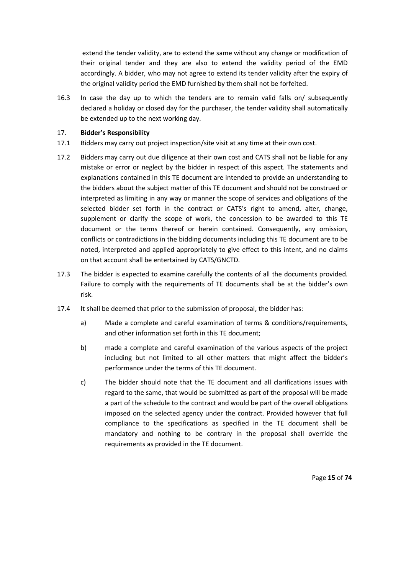extend the tender validity, are to extend the same without any change or modification of their original tender and they are also to extend the validity period of the EMD accordingly. A bidder, who may not agree to extend its tender validity after the expiry of the original validity period the EMD furnished by them shall not be forfeited.

16.3 In case the day up to which the tenders are to remain valid falls on/ subsequently declared a holiday or closed day for the purchaser, the tender validity shall automatically be extended up to the next working day.

#### 17. **Bidder's Responsibility**

- 17.1 Bidders may carry out project inspection/site visit at any time at their own cost.
- 17.2 Bidders may carry out due diligence at their own cost and CATS shall not be liable for any mistake or error or neglect by the bidder in respect of this aspect. The statements and explanations contained in this TE document are intended to provide an understanding to the bidders about the subject matter of this TE document and should not be construed or interpreted as limiting in any way or manner the scope of services and obligations of the selected bidder set forth in the contract or CATS's right to amend, alter, change, supplement or clarify the scope of work, the concession to be awarded to this TE document or the terms thereof or herein contained. Consequently, any omission, conflicts or contradictions in the bidding documents including this TE document are to be noted, interpreted and applied appropriately to give effect to this intent, and no claims on that account shall be entertained by CATS/GNCTD.
- 17.3 The bidder is expected to examine carefully the contents of all the documents provided. Failure to comply with the requirements of TE documents shall be at the bidder's own risk.
- 17.4 It shall be deemed that prior to the submission of proposal, the bidder has:
	- a) Made a complete and careful examination of terms & conditions/requirements, and other information set forth in this TE document;
	- b) made a complete and careful examination of the various aspects of the project including but not limited to all other matters that might affect the bidder's performance under the terms of this TE document.
	- c) The bidder should note that the TE document and all clarifications issues with regard to the same, that would be submitted as part of the proposal will be made a part of the schedule to the contract and would be part of the overall obligations imposed on the selected agency under the contract. Provided however that full compliance to the specifications as specified in the TE document shall be mandatory and nothing to be contrary in the proposal shall override the requirements as provided in the TE document.

Page **15** of **74**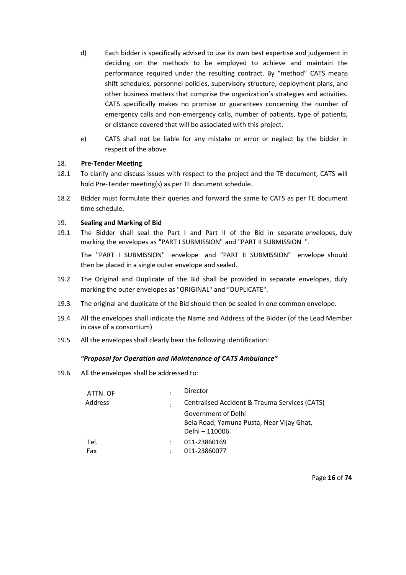- d) Each bidder is specifically advised to use its own best expertise and judgement in deciding on the methods to be employed to achieve and maintain the performance required under the resulting contract. By "method" CATS means shift schedules, personnel policies, supervisory structure, deployment plans, and other business matters that comprise the organization's strategies and activities. CATS specifically makes no promise or guarantees concerning the number of emergency calls and non-emergency calls, number of patients, type of patients, or distance covered that will be associated with this project.
- e) CATS shall not be liable for any mistake or error or neglect by the bidder in respect of the above.

### 18. **Pre-Tender Meeting**

- 18.1 To clarify and discuss issues with respect to the project and the TE document, CATS will hold Pre-Tender meeting(s) as per TE document schedule.
- 18.2 Bidder must formulate their queries and forward the same to CATS as per TE document time schedule.

#### 19. **Sealing and Marking of Bid**

19.1 The Bidder shall seal the Part I and Part II of the Bid in separate envelopes, duly marking the envelopes as "PART I SUBMISSION" and "PART II SUBMISSION ".

The "PART I SUBMISSION" envelope and "PART II SUBMISSION" envelope should then be placed in a single outer envelope and sealed.

- 19.2 The Original and Duplicate of the Bid shall be provided in separate envelopes, duly marking the outer envelopes as "ORIGINAL" and "DUPLICATE".
- 19.3 The original and duplicate of the Bid should then be sealed in one common envelope.
- 19.4 All the envelopes shall indicate the Name and Address of the Bidder (of the Lead Member in case of a consortium)
- 19.5 All the envelopes shall clearly bear the following identification:

#### *"Proposal for Operation and Maintenance of CATS Ambulance"*

19.6 All the envelopes shall be addressed to:

| Director                                      |
|-----------------------------------------------|
| Centralised Accident & Trauma Services (CATS) |
| Government of Delhi                           |
| Bela Road, Yamuna Pusta, Near Vijay Ghat,     |
| Delhi - 110006.                               |
| 011-23860169                                  |
| 011-23860077                                  |
|                                               |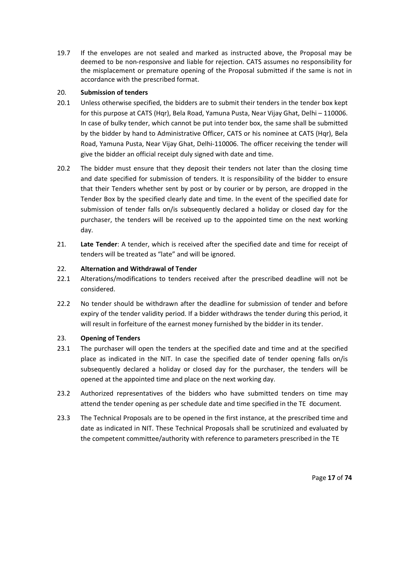19.7 If the envelopes are not sealed and marked as instructed above, the Proposal may be deemed to be non-responsive and liable for rejection. CATS assumes no responsibility for the misplacement or premature opening of the Proposal submitted if the same is not in accordance with the prescribed format.

# 20. **Submission of tenders**

- 20.1 Unless otherwise specified, the bidders are to submit their tenders in the tender box kept for this purpose at CATS (Hqr), Bela Road, Yamuna Pusta, Near Vijay Ghat, Delhi – 110006. In case of bulky tender, which cannot be put into tender box, the same shall be submitted by the bidder by hand to Administrative Officer, CATS or his nominee at CATS (Hqr), Bela Road, Yamuna Pusta, Near Vijay Ghat, Delhi-110006. The officer receiving the tender will give the bidder an official receipt duly signed with date and time.
- 20.2 The bidder must ensure that they deposit their tenders not later than the closing time and date specified for submission of tenders. It is responsibility of the bidder to ensure that their Tenders whether sent by post or by courier or by person, are dropped in the Tender Box by the specified clearly date and time. In the event of the specified date for submission of tender falls on/is subsequently declared a holiday or closed day for the purchaser, the tenders will be received up to the appointed time on the next working day.
- 21. **Late Tender**: A tender, which is received after the specified date and time for receipt of tenders will be treated as "late" and will be ignored.

# 22. **Alternation and Withdrawal of Tender**

- 22.1 Alterations/modifications to tenders received after the prescribed deadline will not be considered.
- 22.2 No tender should be withdrawn after the deadline for submission of tender and before expiry of the tender validity period. If a bidder withdraws the tender during this period, it will result in forfeiture of the earnest money furnished by the bidder in its tender.

# 23. **Opening of Tenders**

- 23.1 The purchaser will open the tenders at the specified date and time and at the specified place as indicated in the NIT. In case the specified date of tender opening falls on/is subsequently declared a holiday or closed day for the purchaser, the tenders will be opened at the appointed time and place on the next working day.
- 23.2 Authorized representatives of the bidders who have submitted tenders on time may attend the tender opening as per schedule date and time specified in the TE document.
- 23.3 The Technical Proposals are to be opened in the first instance, at the prescribed time and date as indicated in NIT. These Technical Proposals shall be scrutinized and evaluated by the competent committee/authority with reference to parameters prescribed in the TE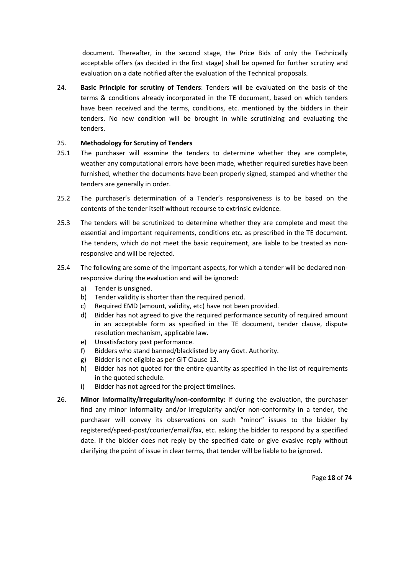document. Thereafter, in the second stage, the Price Bids of only the Technically acceptable offers (as decided in the first stage) shall be opened for further scrutiny and evaluation on a date notified after the evaluation of the Technical proposals.

24. **Basic Principle for scrutiny of Tenders**: Tenders will be evaluated on the basis of the terms & conditions already incorporated in the TE document, based on which tenders have been received and the terms, conditions, etc. mentioned by the bidders in their tenders. No new condition will be brought in while scrutinizing and evaluating the tenders.

# 25. **Methodology for Scrutiny of Tenders**

- 25.1 The purchaser will examine the tenders to determine whether they are complete, weather any computational errors have been made, whether required sureties have been furnished, whether the documents have been properly signed, stamped and whether the tenders are generally in order.
- 25.2 The purchaser's determination of a Tender's responsiveness is to be based on the contents of the tender itself without recourse to extrinsic evidence.
- 25.3 The tenders will be scrutinized to determine whether they are complete and meet the essential and important requirements, conditions etc. as prescribed in the TE document. The tenders, which do not meet the basic requirement, are liable to be treated as nonresponsive and will be rejected.
- 25.4 The following are some of the important aspects, for which a tender will be declared nonresponsive during the evaluation and will be ignored:
	- a) Tender is unsigned.
	- b) Tender validity is shorter than the required period.
	- c) Required EMD (amount, validity, etc) have not been provided.
	- d) Bidder has not agreed to give the required performance security of required amount in an acceptable form as specified in the TE document, tender clause, dispute resolution mechanism, applicable law.
	- e) Unsatisfactory past performance.
	- f) Bidders who stand banned/blacklisted by any Govt. Authority.
	- g) Bidder is not eligible as per GIT Clause 13.
	- h) Bidder has not quoted for the entire quantity as specified in the list of requirements in the quoted schedule.
	- i) Bidder has not agreed for the project timelines.
- 26. **Minor Informality/irregularity/non-conformity:** If during the evaluation, the purchaser find any minor informality and/or irregularity and/or non-conformity in a tender, the purchaser will convey its observations on such "minor" issues to the bidder by registered/speed-post/courier/email/fax, etc. asking the bidder to respond by a specified date. If the bidder does not reply by the specified date or give evasive reply without clarifying the point of issue in clear terms, that tender will be liable to be ignored.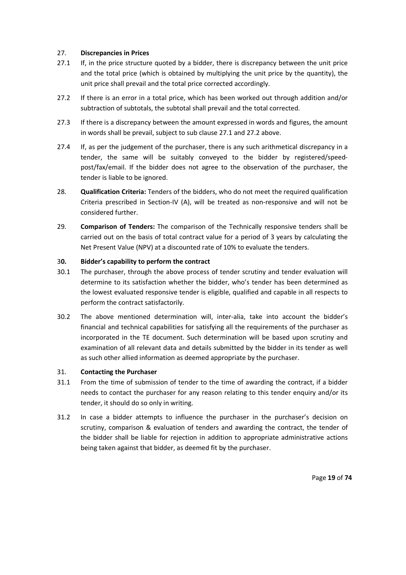# 27. **Discrepancies in Prices**

- 27.1 If, in the price structure quoted by a bidder, there is discrepancy between the unit price and the total price (which is obtained by multiplying the unit price by the quantity), the unit price shall prevail and the total price corrected accordingly.
- 27.2 If there is an error in a total price, which has been worked out through addition and/or subtraction of subtotals, the subtotal shall prevail and the total corrected.
- 27.3 If there is a discrepancy between the amount expressed in words and figures, the amount in words shall be prevail, subject to sub clause 27.1 and 27.2 above.
- 27.4 If, as per the judgement of the purchaser, there is any such arithmetical discrepancy in a tender, the same will be suitably conveyed to the bidder by registered/speedpost/fax/email. If the bidder does not agree to the observation of the purchaser, the tender is liable to be ignored.
- 28. **Qualification Criteria:** Tenders of the bidders, who do not meet the required qualification Criteria prescribed in Section-IV (A), will be treated as non-responsive and will not be considered further.
- 29. **Comparison of Tenders:** The comparison of the Technically responsive tenders shall be carried out on the basis of total contract value for a period of 3 years by calculating the Net Present Value (NPV) at a discounted rate of 10% to evaluate the tenders.

### 3**0. Bidder's capability to perform the contract**

- 30.1 The purchaser, through the above process of tender scrutiny and tender evaluation will determine to its satisfaction whether the bidder, who's tender has been determined as the lowest evaluated responsive tender is eligible, qualified and capable in all respects to perform the contract satisfactorily.
- 30.2 The above mentioned determination will, inter-alia, take into account the bidder's financial and technical capabilities for satisfying all the requirements of the purchaser as incorporated in the TE document. Such determination will be based upon scrutiny and examination of all relevant data and details submitted by the bidder in its tender as well as such other allied information as deemed appropriate by the purchaser.

### 31. **Contacting the Purchaser**

- 31.1 From the time of submission of tender to the time of awarding the contract, if a bidder needs to contact the purchaser for any reason relating to this tender enquiry and/or its tender, it should do so only in writing.
- 31.2 In case a bidder attempts to influence the purchaser in the purchaser's decision on scrutiny, comparison & evaluation of tenders and awarding the contract, the tender of the bidder shall be liable for rejection in addition to appropriate administrative actions being taken against that bidder, as deemed fit by the purchaser.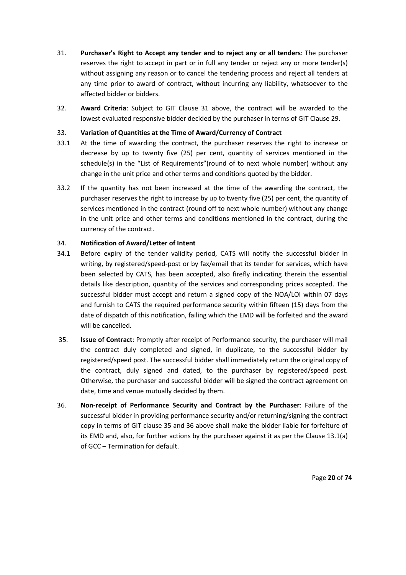- 31. **Purchaser's Right to Accept any tender and to reject any or all tenders**: The purchaser reserves the right to accept in part or in full any tender or reject any or more tender(s) without assigning any reason or to cancel the tendering process and reject all tenders at any time prior to award of contract, without incurring any liability, whatsoever to the affected bidder or bidders.
- 32. **Award Criteria**: Subject to GIT Clause 31 above, the contract will be awarded to the lowest evaluated responsive bidder decided by the purchaser in terms of GIT Clause 29.

# 33. **Variation of Quantities at the Time of Award/Currency of Contract**

- 33.1 At the time of awarding the contract, the purchaser reserves the right to increase or decrease by up to twenty five (25) per cent, quantity of services mentioned in the schedule(s) in the "List of Requirements"(round of to next whole number) without any change in the unit price and other terms and conditions quoted by the bidder.
- 33.2 If the quantity has not been increased at the time of the awarding the contract, the purchaser reserves the right to increase by up to twenty five (25) per cent, the quantity of services mentioned in the contract (round off to next whole number) without any change in the unit price and other terms and conditions mentioned in the contract, during the currency of the contract.

### 34. **Notification of Award/Letter of Intent**

- 34.1 Before expiry of the tender validity period, CATS will notify the successful bidder in writing, by registered/speed-post or by fax/email that its tender for services, which have been selected by CATS, has been accepted, also firefly indicating therein the essential details like description, quantity of the services and corresponding prices accepted. The successful bidder must accept and return a signed copy of the NOA/LOI within 07 days and furnish to CATS the required performance security within fifteen (15) days from the date of dispatch of this notification, failing which the EMD will be forfeited and the award will be cancelled.
- 35. **Issue of Contract**: Promptly after receipt of Performance security, the purchaser will mail the contract duly completed and signed, in duplicate, to the successful bidder by registered/speed post. The successful bidder shall immediately return the original copy of the contract, duly signed and dated, to the purchaser by registered/speed post. Otherwise, the purchaser and successful bidder will be signed the contract agreement on date, time and venue mutually decided by them.
- 36. **Non-receipt of Performance Security and Contract by the Purchaser**: Failure of the successful bidder in providing performance security and/or returning/signing the contract copy in terms of GIT clause 35 and 36 above shall make the bidder liable for forfeiture of its EMD and, also, for further actions by the purchaser against it as per the Clause 13.1(a) of GCC – Termination for default.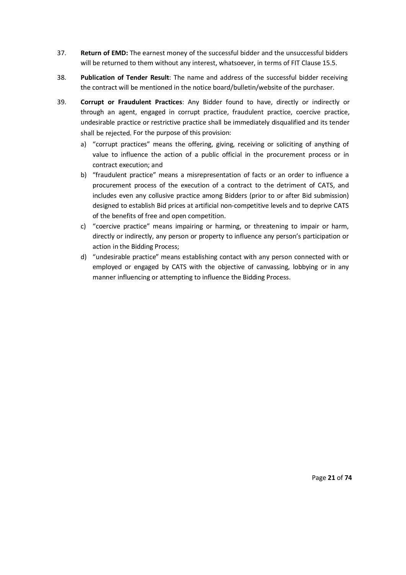- 37. **Return of EMD:** The earnest money of the successful bidder and the unsuccessful bidders will be returned to them without any interest, whatsoever, in terms of FIT Clause 15.5.
- 38. **Publication of Tender Result**: The name and address of the successful bidder receiving the contract will be mentioned in the notice board/bulletin/website of the purchaser.
- 39. **Corrupt or Fraudulent Practices**: Any Bidder found to have, directly or indirectly or through an agent, engaged in corrupt practice, fraudulent practice, coercive practice, undesirable practice or restrictive practice shall be immediately disqualified and its tender shall be rejected. For the purpose of this provision:
	- a) "corrupt practices" means the offering, giving, receiving or soliciting of anything of value to influence the action of a public official in the procurement process or in contract execution; and
	- b) "fraudulent practice" means a misrepresentation of facts or an order to influence a procurement process of the execution of a contract to the detriment of CATS, and includes even any collusive practice among Bidders (prior to or after Bid submission) designed to establish Bid prices at artificial non-competitive levels and to deprive CATS of the benefits of free and open competition.
	- c) "coercive practice" means impairing or harming, or threatening to impair or harm, directly or indirectly, any person or property to influence any person's participation or action in the Bidding Process;
	- d) "undesirable practice" means establishing contact with any person connected with or employed or engaged by CATS with the objective of canvassing, lobbying or in any manner influencing or attempting to influence the Bidding Process.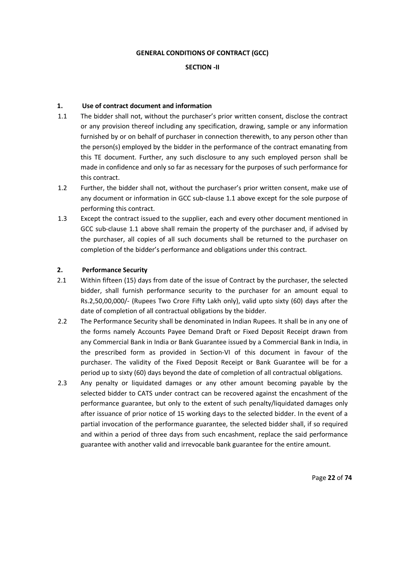#### **GENERAL CONDITIONS OF CONTRACT (GCC)**

#### **SECTION -II**

### **1. Use of contract document and information**

- 1.1 The bidder shall not, without the purchaser's prior written consent, disclose the contract or any provision thereof including any specification, drawing, sample or any information furnished by or on behalf of purchaser in connection therewith, to any person other than the person(s) employed by the bidder in the performance of the contract emanating from this TE document. Further, any such disclosure to any such employed person shall be made in confidence and only so far as necessary for the purposes of such performance for this contract.
- 1.2 Further, the bidder shall not, without the purchaser's prior written consent, make use of any document or information in GCC sub-clause 1.1 above except for the sole purpose of performing this contract.
- 1.3 Except the contract issued to the supplier, each and every other document mentioned in GCC sub-clause 1.1 above shall remain the property of the purchaser and, if advised by the purchaser, all copies of all such documents shall be returned to the purchaser on completion of the bidder's performance and obligations under this contract.

#### **2. Performance Security**

- 2.1 Within fifteen (15) days from date of the issue of Contract by the purchaser, the selected bidder, shall furnish performance security to the purchaser for an amount equal to Rs.2,50,00,000/- (Rupees Two Crore Fifty Lakh only), valid upto sixty (60) days after the date of completion of all contractual obligations by the bidder.
- 2.2 The Performance Security shall be denominated in Indian Rupees. It shall be in any one of the forms namely Accounts Payee Demand Draft or Fixed Deposit Receipt drawn from any Commercial Bank in India or Bank Guarantee issued by a Commercial Bank in India, in the prescribed form as provided in Section-VI of this document in favour of the purchaser. The validity of the Fixed Deposit Receipt or Bank Guarantee will be for a period up to sixty (60) days beyond the date of completion of all contractual obligations.
- 2.3 Any penalty or liquidated damages or any other amount becoming payable by the selected bidder to CATS under contract can be recovered against the encashment of the performance guarantee, but only to the extent of such penalty/liquidated damages only after issuance of prior notice of 15 working days to the selected bidder. In the event of a partial invocation of the performance guarantee, the selected bidder shall, if so required and within a period of three days from such encashment, replace the said performance guarantee with another valid and irrevocable bank guarantee for the entire amount.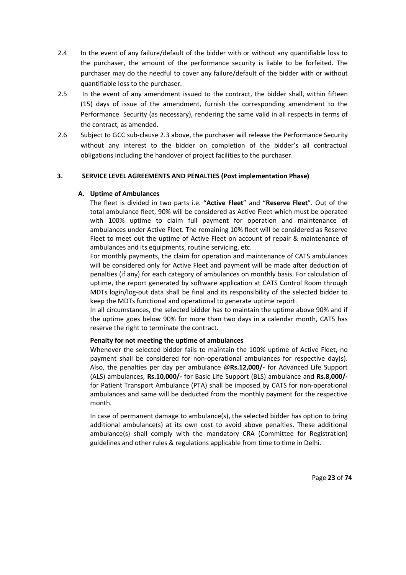- 2.4 In the event of any failure/default of the bidder with or without any quantifiable loss to the purchaser, the amount of the performance security is liable to be forfeited. The purchaser may do the needful to cover any failure/default of the bidder with or without quantifiable loss to the purchaser.
- 2.5 In the event of any amendment issued to the contract, the bidder shall, within fifteen (15) days of issue of the amendment, furnish the corresponding amendment to the Performance Security (as necessary), rendering the same valid in all respects in terms of the contract, as amended.
- 2.6 Subject to GCC sub-clause 2.3 above, the purchaser will release the Performance Security without any interest to the bidder on completion of the bidder's all contractual obligations including the handover of project facilities to the purchaser.

### **3. SERVICE LEVEL AGREEMENTS AND PENALTIES (Post implementation Phase)**

### **A. Uptime of Ambulances**

The fleet is divided in two parts i.e. "**Active Fleet**" and "**Reserve Fleet**". Out of the total ambulance fleet, 90% will be considered as Active Fleet which must be operated with 100% uptime to claim full payment for operation and maintenance of ambulances under Active Fleet. The remaining 10% fleet will be considered as Reserve Fleet to meet out the uptime of Active Fleet on account of repair & maintenance of ambulances and its equipments, routine servicing, etc.

For monthly payments, the claim for operation and maintenance of CATS ambulances will be considered only for Active Fleet and payment will be made after deduction of penalties (if any) for each category of ambulances on monthly basis. For calculation of uptime, the report generated by software application at CATS Control Room through MDTs login/log-out data shall be final and its responsibility of the selected bidder to keep the MDTs functional and operational to generate uptime report.

In all circumstances, the selected bidder has to maintain the uptime above 90% and if the uptime goes below 90% for more than two days in a calendar month, CATS has reserve the right to terminate the contract.

### **Penalty for not meeting the uptime of ambulances**

Whenever the selected bidder fails to maintain the 100% uptime of Active Fleet, no payment shall be considered for non-operational ambulances for respective day(s). Also, the penalties per day per ambulance @**Rs.12,000/-** for Advanced Life Support (ALS) ambulances, **Rs.10,000/-** for Basic Life Support (BLS) ambulance and **Rs.8,000/** for Patient Transport Ambulance (PTA) shall be imposed by CATS for non-operational ambulances and same will be deducted from the monthly payment for the respective month.

In case of permanent damage to ambulance(s), the selected bidder has option to bring additional ambulance(s) at its own cost to avoid above penalties. These additional ambulance(s) shall comply with the mandatory CRA (Committee for Registration) guidelines and other rules & regulations applicable from time to time in Delhi.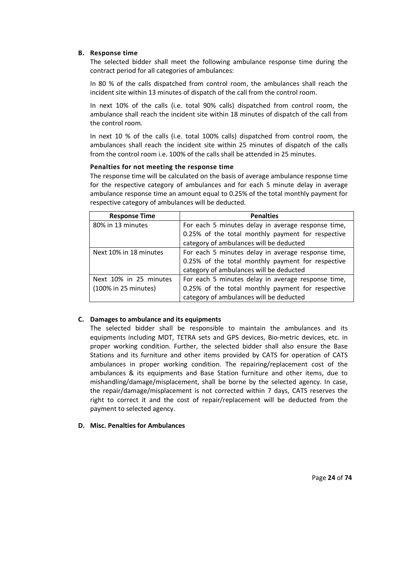#### **B. Response time**

The selected bidder shall meet the following ambulance response time during the contract period for all categories of ambulances:

In 80 % of the calls dispatched from control room, the ambulances shall reach the incident site within 13 minutes of dispatch of the call from the control room.

In next 10% of the calls (i.e. total 90% calls) dispatched from control room, the ambulance shall reach the incident site within 18 minutes of dispatch of the call from the control room.

In next 10 % of the calls (i.e. total 100% calls) dispatched from control room, the ambulances shall reach the incident site within 25 minutes of dispatch of the calls from the control room i.e. 100% of the calls shall be attended in 25 minutes.

#### **Penalties for not meeting the response time**

The response time will be calculated on the basis of average ambulance response time for the respective category of ambulances and for each 5 minute delay in average ambulance response time an amount equal to 0.25% of the total monthly payment for respective category of ambulances will be deducted.

| <b>Response Time</b>   | <b>Penalties</b>                                   |  |
|------------------------|----------------------------------------------------|--|
| 80% in 13 minutes      | For each 5 minutes delay in average response time, |  |
|                        | 0.25% of the total monthly payment for respective  |  |
|                        | category of ambulances will be deducted            |  |
| Next 10% in 18 minutes | For each 5 minutes delay in average response time, |  |
|                        | 0.25% of the total monthly payment for respective  |  |
|                        | category of ambulances will be deducted            |  |
| Next 10% in 25 minutes | For each 5 minutes delay in average response time, |  |
| (100% in 25 minutes)   | 0.25% of the total monthly payment for respective  |  |
|                        | category of ambulances will be deducted            |  |

### **C. Damages to ambulance and its equipments**

The selected bidder shall be responsible to maintain the ambulances and its equipments including MDT, TETRA sets and GPS devices, Bio-metric devices, etc. in proper working condition. Further, the selected bidder shall also ensure the Base Stations and its furniture and other items provided by CATS for operation of CATS ambulances in proper working condition. The repairing/replacement cost of the ambulances & its equipments and Base Station furniture and other items, due to mishandling/damage/misplacement, shall be borne by the selected agency. In case, the repair/damage/misplacement is not corrected within 7 days, CATS reserves the right to correct it and the cost of repair/replacement will be deducted from the payment to selected agency.

#### **D. Misc. Penalties for Ambulances**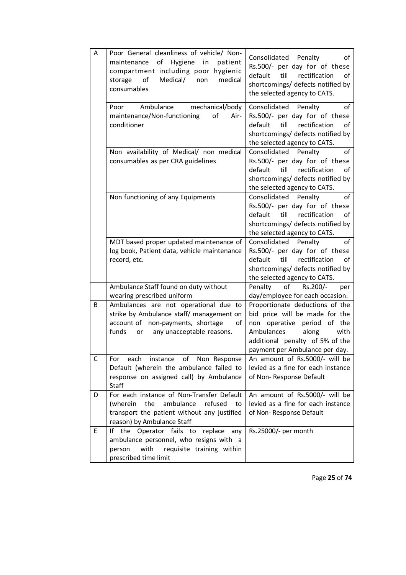| Α | Poor General cleanliness of vehicle/ Non-<br>of Hygiene<br>in<br>maintenance<br>patient<br>compartment including poor hygienic<br>of<br>Medical/<br>medical<br>storage<br>non<br>consumables | Consolidated<br>Penalty<br>of<br>Rs.500/- per day for of these<br>default<br>till<br>rectification<br>οf<br>shortcomings/ defects notified by<br>the selected agency to CATS.                              |
|---|----------------------------------------------------------------------------------------------------------------------------------------------------------------------------------------------|------------------------------------------------------------------------------------------------------------------------------------------------------------------------------------------------------------|
|   | mechanical/body<br>Ambulance<br>Poor<br>maintenance/Non-functioning<br>of<br>Air-<br>conditioner                                                                                             | Consolidated<br>of<br>Penalty<br>Rs.500/- per day for of these<br>default<br>till<br>rectification<br>οf<br>shortcomings/ defects notified by<br>the selected agency to CATS.                              |
|   | Non availability of Medical/ non medical<br>consumables as per CRA guidelines                                                                                                                | Consolidated<br>Penalty<br>of<br>Rs.500/- per day for of these<br>till<br>rectification<br>of<br>default<br>shortcomings/ defects notified by<br>the selected agency to CATS.                              |
|   | Non functioning of any Equipments                                                                                                                                                            | Consolidated<br>Penalty<br>of<br>Rs.500/- per day for of these<br>default<br>till<br>rectification<br>οf<br>shortcomings/ defects notified by<br>the selected agency to CATS.                              |
|   | MDT based proper updated maintenance of<br>log book, Patient data, vehicle maintenance<br>record, etc.                                                                                       | Consolidated<br>Penalty<br>of<br>Rs.500/- per day for of these<br>default<br>till<br>rectification<br>of<br>shortcomings/ defects notified by<br>the selected agency to CATS.                              |
|   | Ambulance Staff found on duty without<br>wearing prescribed uniform                                                                                                                          | Penalty<br>Rs.200/-<br>of<br>per<br>day/employee for each occasion.                                                                                                                                        |
| B | Ambulances are not operational due to<br>strike by Ambulance staff/ management on<br>account of non-payments, shortage<br>of<br>funds<br>any unacceptable reasons.<br>or                     | Proportionate deductions of the<br>bid price will be made for the<br>non operative<br>period<br>of the<br>Ambulances<br>along<br>with<br>additional penalty of 5% of the<br>payment per Ambulance per day. |
| С | instance of Non Response<br>each<br>For<br>Default (wherein the ambulance failed to<br>response on assigned call) by Ambulance<br>Staff                                                      | An amount of Rs.5000/- will be<br>levied as a fine for each instance<br>of Non-Response Default                                                                                                            |
| D | For each instance of Non-Transfer Default<br>refused<br>the<br>ambulance<br>(wherein<br>to<br>transport the patient without any justified<br>reason) by Ambulance Staff                      | An amount of Rs.5000/- will be<br>levied as a fine for each instance<br>of Non-Response Default                                                                                                            |
| Ε | If the Operator fails to replace any<br>ambulance personnel, who resigns with a<br>with<br>requisite training within<br>person<br>prescribed time limit                                      | Rs.25000/- per month                                                                                                                                                                                       |

Page **25** of **74**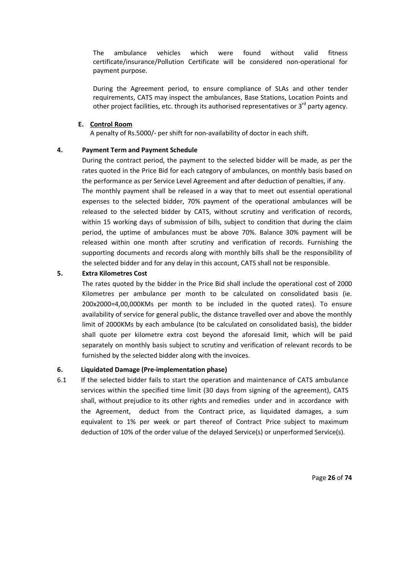The ambulance vehicles which were found without valid fitness certificate/insurance/Pollution Certificate will be considered non-operational for payment purpose.

During the Agreement period, to ensure compliance of SLAs and other tender requirements, CATS may inspect the ambulances, Base Stations, Location Points and other project facilities, etc. through its authorised representatives or  $3<sup>rd</sup>$  party agency.

### **E. Control Room**

A penalty of Rs.5000/- per shift for non-availability of doctor in each shift.

#### **4. Payment Term and Payment Schedule**

During the contract period, the payment to the selected bidder will be made, as per the rates quoted in the Price Bid for each category of ambulances, on monthly basis based on the performance as per Service Level Agreement and after deduction of penalties, if any. The monthly payment shall be released in a way that to meet out essential operational expenses to the selected bidder, 70% payment of the operational ambulances will be released to the selected bidder by CATS, without scrutiny and verification of records, within 15 working days of submission of bills, subject to condition that during the claim period, the uptime of ambulances must be above 70%. Balance 30% payment will be released within one month after scrutiny and verification of records. Furnishing the supporting documents and records along with monthly bills shall be the responsibility of the selected bidder and for any delay in this account, CATS shall not be responsible.

#### **5. Extra Kilometres Cost**

The rates quoted by the bidder in the Price Bid shall include the operational cost of 2000 Kilometres per ambulance per month to be calculated on consolidated basis (ie. 200x2000=4,00,000KMs per month to be included in the quoted rates). To ensure availability of service for general public, the distance travelled over and above the monthly limit of 2000KMs by each ambulance (to be calculated on consolidated basis), the bidder shall quote per kilometre extra cost beyond the aforesaid limit, which will be paid separately on monthly basis subject to scrutiny and verification of relevant records to be furnished by the selected bidder along with the invoices.

#### **6. Liquidated Damage (Pre-implementation phase)**

6.1 If the selected bidder fails to start the operation and maintenance of CATS ambulance services within the specified time limit (30 days from signing of the agreement), CATS shall, without prejudice to its other rights and remedies under and in accordance with the Agreement, deduct from the Contract price, as liquidated damages, a sum equivalent to 1% per week or part thereof of Contract Price subject to maximum deduction of 10% of the order value of the delayed Service(s) or unperformed Service(s).

Page **26** of **74**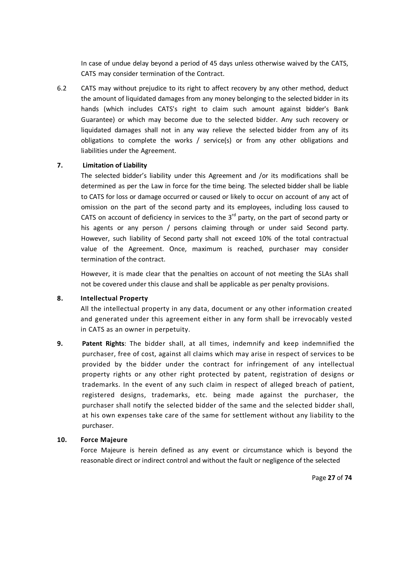In case of undue delay beyond a period of 45 days unless otherwise waived by the CATS, CATS may consider termination of the Contract.

6.2 CATS may without prejudice to its right to affect recovery by any other method, deduct the amount of liquidated damages from any money belonging to the selected bidder in its hands (which includes CATS's right to claim such amount against bidder's Bank Guarantee) or which may become due to the selected bidder. Any such recovery or liquidated damages shall not in any way relieve the selected bidder from any of its obligations to complete the works / service(s) or from any other obligations and liabilities under the Agreement.

### **7. Limitation of Liability**

The selected bidder's liability under this Agreement and /or its modifications shall be determined as per the Law in force for the time being. The selected bidder shall be liable to CATS for loss or damage occurred or caused or likely to occur on account of any act of omission on the part of the second party and its employees, including loss caused to CATS on account of deficiency in services to the  $3<sup>rd</sup>$  party, on the part of second party or his agents or any person / persons claiming through or under said Second party. However, such liability of Second party shall not exceed 10% of the total contractual value of the Agreement. Once, maximum is reached, purchaser may consider termination of the contract.

However, it is made clear that the penalties on account of not meeting the SLAs shall not be covered under this clause and shall be applicable as per penalty provisions.

#### **8. Intellectual Property**

 All the intellectual property in any data, document or any other information created and generated under this agreement either in any form shall be irrevocably vested in CATS as an owner in perpetuity.

**9. Patent Rights**: The bidder shall, at all times, indemnify and keep indemnified the purchaser, free of cost, against all claims which may arise in respect of services to be provided by the bidder under the contract for infringement of any intellectual property rights or any other right protected by patent, registration of designs or trademarks. In the event of any such claim in respect of alleged breach of patient, registered designs, trademarks, etc. being made against the purchaser, the purchaser shall notify the selected bidder of the same and the selected bidder shall, at his own expenses take care of the same for settlement without any liability to the purchaser.

#### **10. Force Majeure**

 Force Majeure is herein defined as any event or circumstance which is beyond the reasonable direct or indirect control and without the fault or negligence of the selected

Page **27** of **74**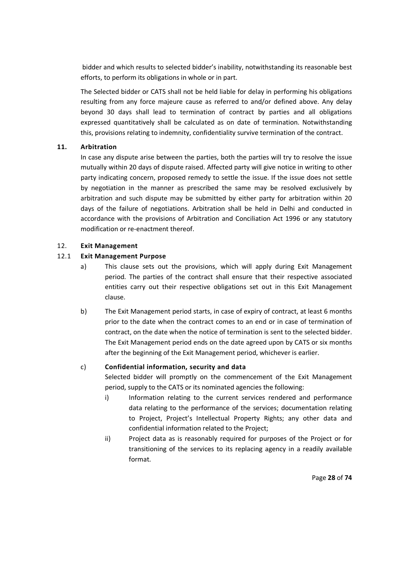bidder and which results to selected bidder's inability, notwithstanding its reasonable best efforts, to perform its obligations in whole or in part.

 The Selected bidder or CATS shall not be held liable for delay in performing his obligations resulting from any force majeure cause as referred to and/or defined above. Any delay beyond 30 days shall lead to termination of contract by parties and all obligations expressed quantitatively shall be calculated as on date of termination. Notwithstanding this, provisions relating to indemnity, confidentiality survive termination of the contract.

### **11. Arbitration**

 In case any dispute arise between the parties, both the parties will try to resolve the issue mutually within 20 days of dispute raised. Affected party will give notice in writing to other party indicating concern, proposed remedy to settle the issue. If the issue does not settle by negotiation in the manner as prescribed the same may be resolved exclusively by arbitration and such dispute may be submitted by either party for arbitration within 20 days of the failure of negotiations. Arbitration shall be held in Delhi and conducted in accordance with the provisions of Arbitration and Conciliation Act 1996 or any statutory modification or re-enactment thereof.

# 12. **Exit Management**

# 12.1 **Exit Management Purpose**

- a) This clause sets out the provisions, which will apply during Exit Management period. The parties of the contract shall ensure that their respective associated entities carry out their respective obligations set out in this Exit Management clause.
- b) The Exit Management period starts, in case of expiry of contract, at least 6 months prior to the date when the contract comes to an end or in case of termination of contract, on the date when the notice of termination is sent to the selected bidder. The Exit Management period ends on the date agreed upon by CATS or six months after the beginning of the Exit Management period, whichever is earlier.

### c) **Confidential information, security and data**

 Selected bidder will promptly on the commencement of the Exit Management period, supply to the CATS or its nominated agencies the following:

- i) Information relating to the current services rendered and performance data relating to the performance of the services; documentation relating to Project, Project's Intellectual Property Rights; any other data and confidential information related to the Project;
- ii) Project data as is reasonably required for purposes of the Project or for transitioning of the services to its replacing agency in a readily available format.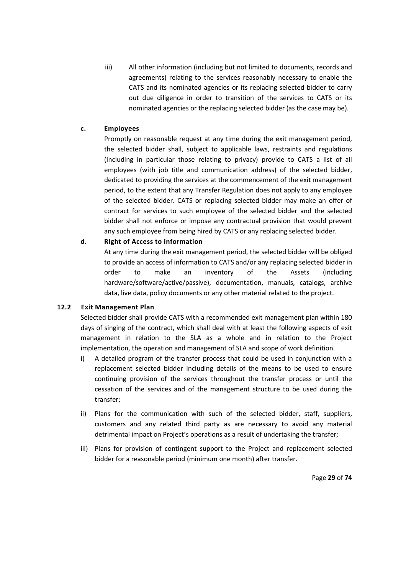iii) All other information (including but not limited to documents, records and agreements) relating to the services reasonably necessary to enable the CATS and its nominated agencies or its replacing selected bidder to carry out due diligence in order to transition of the services to CATS or its nominated agencies or the replacing selected bidder (as the case may be).

# **c. Employees**

Promptly on reasonable request at any time during the exit management period, the selected bidder shall, subject to applicable laws, restraints and regulations (including in particular those relating to privacy) provide to CATS a list of all employees (with job title and communication address) of the selected bidder, dedicated to providing the services at the commencement of the exit management period, to the extent that any Transfer Regulation does not apply to any employee of the selected bidder. CATS or replacing selected bidder may make an offer of contract for services to such employee of the selected bidder and the selected bidder shall not enforce or impose any contractual provision that would prevent any such employee from being hired by CATS or any replacing selected bidder.

# **d. Right of Access to information**

At any time during the exit management period, the selected bidder will be obliged to provide an access of information to CATS and/or any replacing selected bidder in order to make an inventory of the Assets (including hardware/software/active/passive), documentation, manuals, catalogs, archive data, live data, policy documents or any other material related to the project.

### **12.2 Exit Management Plan**

Selected bidder shall provide CATS with a recommended exit management plan within 180 days of singing of the contract, which shall deal with at least the following aspects of exit management in relation to the SLA as a whole and in relation to the Project implementation, the operation and management of SLA and scope of work definition.

- i) A detailed program of the transfer process that could be used in conjunction with a replacement selected bidder including details of the means to be used to ensure continuing provision of the services throughout the transfer process or until the cessation of the services and of the management structure to be used during the transfer;
- ii) Plans for the communication with such of the selected bidder, staff, suppliers, customers and any related third party as are necessary to avoid any material detrimental impact on Project's operations as a result of undertaking the transfer;
- iii) Plans for provision of contingent support to the Project and replacement selected bidder for a reasonable period (minimum one month) after transfer.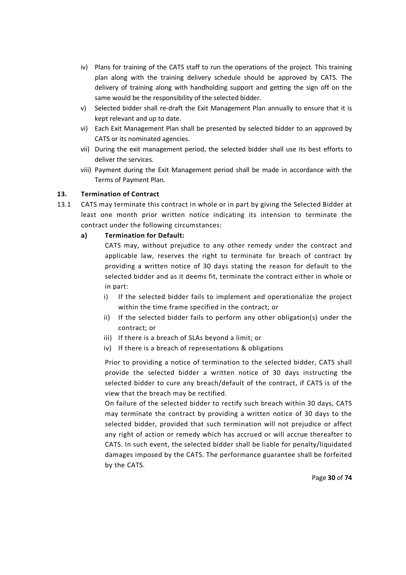- iv) Plans for training of the CATS staff to run the operations of the project. This training plan along with the training delivery schedule should be approved by CATS. The delivery of training along with handholding support and getting the sign off on the same would be the responsibility of the selected bidder.
- v) Selected bidder shall re-draft the Exit Management Plan annually to ensure that it is kept relevant and up to date.
- vi) Each Exit Management Plan shall be presented by selected bidder to an approved by CATS or its nominated agencies.
- vii) During the exit management period, the selected bidder shall use its best efforts to deliver the services.
- viii) Payment during the Exit Management period shall be made in accordance with the Terms of Payment Plan.

# **13. Termination of Contract**

13.1 CATS may terminate this contract in whole or in part by giving the Selected Bidder at least one month prior written notice indicating its intension to terminate the contract under the following circumstances:

# **a) Termination for Default:**

CATS may, without prejudice to any other remedy under the contract and applicable law, reserves the right to terminate for breach of contract by providing a written notice of 30 days stating the reason for default to the selected bidder and as it deems fit, terminate the contract either in whole or in part:

- i) If the selected bidder fails to implement and operationalize the project within the time frame specified in the contract; or
- ii) If the selected bidder fails to perform any other obligation(s) under the contract; or
- iii) If there is a breach of SLAs beyond a limit; or
- iv) If there is a breach of representations & obligations

Prior to providing a notice of termination to the selected bidder, CATS shall provide the selected bidder a written notice of 30 days instructing the selected bidder to cure any breach/default of the contract, if CATS is of the view that the breach may be rectified.

On failure of the selected bidder to rectify such breach within 30 days, CATS may terminate the contract by providing a written notice of 30 days to the selected bidder, provided that such termination will not prejudice or affect any right of action or remedy which has accrued or will accrue thereafter to CATS. In such event, the selected bidder shall be liable for penalty/liquidated damages imposed by the CATS. The performance guarantee shall be forfeited by the CATS.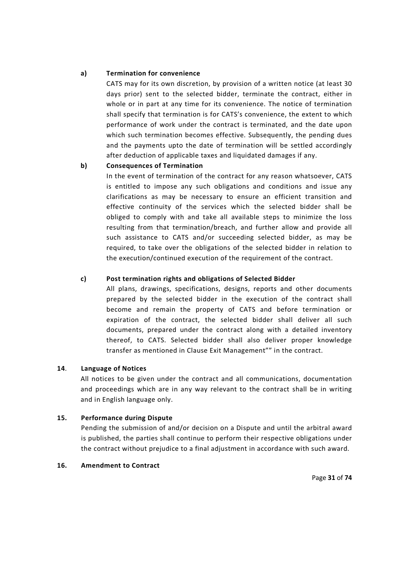#### **a) Termination for convenience**

CATS may for its own discretion, by provision of a written notice (at least 30 days prior) sent to the selected bidder, terminate the contract, either in whole or in part at any time for its convenience. The notice of termination shall specify that termination is for CATS's convenience, the extent to which performance of work under the contract is terminated, and the date upon which such termination becomes effective. Subsequently, the pending dues and the payments upto the date of termination will be settled accordingly after deduction of applicable taxes and liquidated damages if any.

### **b) Consequences of Termination**

In the event of termination of the contract for any reason whatsoever, CATS is entitled to impose any such obligations and conditions and issue any clarifications as may be necessary to ensure an efficient transition and effective continuity of the services which the selected bidder shall be obliged to comply with and take all available steps to minimize the loss resulting from that termination/breach, and further allow and provide all such assistance to CATS and/or succeeding selected bidder, as may be required, to take over the obligations of the selected bidder in relation to the execution/continued execution of the requirement of the contract.

#### **c) Post termination rights and obligations of Selected Bidder**

All plans, drawings, specifications, designs, reports and other documents prepared by the selected bidder in the execution of the contract shall become and remain the property of CATS and before termination or expiration of the contract, the selected bidder shall deliver all such documents, prepared under the contract along with a detailed inventory thereof, to CATS. Selected bidder shall also deliver proper knowledge transfer as mentioned in Clause Exit Management"" in the contract.

#### **14**. **Language of Notices**

All notices to be given under the contract and all communications, documentation and proceedings which are in any way relevant to the contract shall be in writing and in English language only.

#### **15. Performance during Dispute**

Pending the submission of and/or decision on a Dispute and until the arbitral award is published, the parties shall continue to perform their respective obligations under the contract without prejudice to a final adjustment in accordance with such award.

#### **16. Amendment to Contract**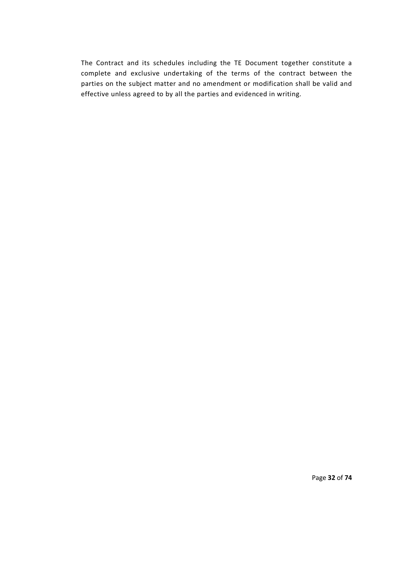The Contract and its schedules including the TE Document together constitute a complete and exclusive undertaking of the terms of the contract between the parties on the subject matter and no amendment or modification shall be valid and effective unless agreed to by all the parties and evidenced in writing.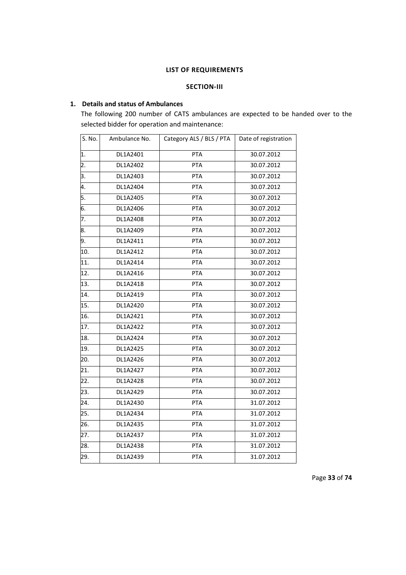#### **LIST OF REQUIREMENTS**

# **SECTION-III**

# **1. Details and status of Ambulances**

The following 200 number of CATS ambulances are expected to be handed over to the selected bidder for operation and maintenance:

| S. No. | Ambulance No. | Category ALS / BLS / PTA | Date of registration |
|--------|---------------|--------------------------|----------------------|
| 1.     | DL1A2401      | PTA                      | 30.07.2012           |
| 2.     | DL1A2402      | <b>PTA</b>               | 30.07.2012           |
| 3.     | DL1A2403      | PTA                      | 30.07.2012           |
| 4.     | DL1A2404      | <b>PTA</b>               | 30.07.2012           |
| 5.     | DL1A2405      | <b>PTA</b>               | 30.07.2012           |
| 6.     | DL1A2406      | PTA                      | 30.07.2012           |
| 7.     | DL1A2408      | PTA                      | 30.07.2012           |
| 8.     | DL1A2409      | <b>PTA</b>               | 30.07.2012           |
| 9.     | DL1A2411      | PTA                      | 30.07.2012           |
| 10.    | DL1A2412      | PTA                      | 30.07.2012           |
| 11.    | DL1A2414      | <b>PTA</b>               | 30.07.2012           |
| 12.    | DL1A2416      | PTA                      | 30.07.2012           |
| 13.    | DL1A2418      | PTA                      | 30.07.2012           |
| 14.    | DL1A2419      | <b>PTA</b>               | 30.07.2012           |
| 15.    | DL1A2420      | <b>PTA</b>               | 30.07.2012           |
| 16.    | DL1A2421      | PTA                      | 30.07.2012           |
| 17.    | DL1A2422      | PTA                      | 30.07.2012           |
| 18.    | DL1A2424      | PTA                      | 30.07.2012           |
| 19.    | DL1A2425      | <b>PTA</b>               | 30.07.2012           |
| 20.    | DL1A2426      | PTA                      | 30.07.2012           |
| 21.    | DL1A2427      | <b>PTA</b>               | 30.07.2012           |
| 22.    | DL1A2428      | PTA                      | 30.07.2012           |
| 23.    | DL1A2429      | PTA                      | 30.07.2012           |
| 24.    | DL1A2430      | PTA                      | 31.07.2012           |
| 25.    | DL1A2434      | PTA                      | 31.07.2012           |
| 26.    | DL1A2435      | PTA                      | 31.07.2012           |
| 27.    | DL1A2437      | PTA                      | 31.07.2012           |
| 28.    | DL1A2438      | PTA                      | 31.07.2012           |
| 29.    | DL1A2439      | PTA                      | 31.07.2012           |

Page **33** of **74**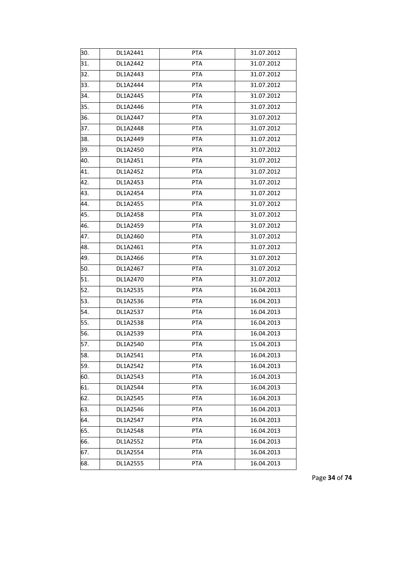| 30. | DL1A2441 | PTA        | 31.07.2012 |
|-----|----------|------------|------------|
| 31. | DL1A2442 | <b>PTA</b> | 31.07.2012 |
| 32. | DL1A2443 | <b>PTA</b> | 31.07.2012 |
| 33. | DL1A2444 | <b>PTA</b> | 31.07.2012 |
| 34. | DL1A2445 | <b>PTA</b> | 31.07.2012 |
| 35. | DL1A2446 | <b>PTA</b> | 31.07.2012 |
| 36. | DL1A2447 | <b>PTA</b> | 31.07.2012 |
| 37. | DL1A2448 | <b>PTA</b> | 31.07.2012 |
| 38. | DL1A2449 | <b>PTA</b> | 31.07.2012 |
| 39. | DL1A2450 | <b>PTA</b> | 31.07.2012 |
| 40. | DL1A2451 | PTA        | 31.07.2012 |
| 41. | DL1A2452 | <b>PTA</b> | 31.07.2012 |
| 42. | DL1A2453 | <b>PTA</b> | 31.07.2012 |
| 43. | DL1A2454 | PTA        | 31.07.2012 |
| 44. | DL1A2455 | <b>PTA</b> | 31.07.2012 |
| 45. | DL1A2458 | PTA        | 31.07.2012 |
| 46. | DL1A2459 | <b>PTA</b> | 31.07.2012 |
| 47. | DL1A2460 | <b>PTA</b> | 31.07.2012 |
| 48. | DL1A2461 | <b>PTA</b> | 31.07.2012 |
| 49. | DL1A2466 | <b>PTA</b> | 31.07.2012 |
| 50. | DL1A2467 | <b>PTA</b> | 31.07.2012 |
| 51. | DL1A2470 | PTA        | 31.07.2012 |
| 52. | DL1A2535 | <b>PTA</b> | 16.04.2013 |
| 53. | DL1A2536 | <b>PTA</b> | 16.04.2013 |
| 54. | DL1A2537 | PTA        | 16.04.2013 |
| 55. | DL1A2538 | <b>PTA</b> | 16.04.2013 |
| 56. | DL1A2539 | PTA        | 16.04.2013 |
| 57. | DL1A2540 | <b>PTA</b> | 15.04.2013 |
| 58. | DL1A2541 | PTA        | 16.04.2013 |
| 59. | DL1A2542 | <b>PTA</b> | 16.04.2013 |
| 60. | DL1A2543 | <b>PTA</b> | 16.04.2013 |
| 61. | DL1A2544 | <b>PTA</b> | 16.04.2013 |
| 62. | DL1A2545 | <b>PTA</b> | 16.04.2013 |
| 63. | DL1A2546 | <b>PTA</b> | 16.04.2013 |
| 64. | DL1A2547 | <b>PTA</b> | 16.04.2013 |
| 65. | DL1A2548 | PTA        | 16.04.2013 |
| 66. | DL1A2552 | <b>PTA</b> | 16.04.2013 |
| 67. | DL1A2554 | <b>PTA</b> | 16.04.2013 |
| 68. | DL1A2555 | <b>PTA</b> | 16.04.2013 |
|     |          |            |            |

Page **34** of **74**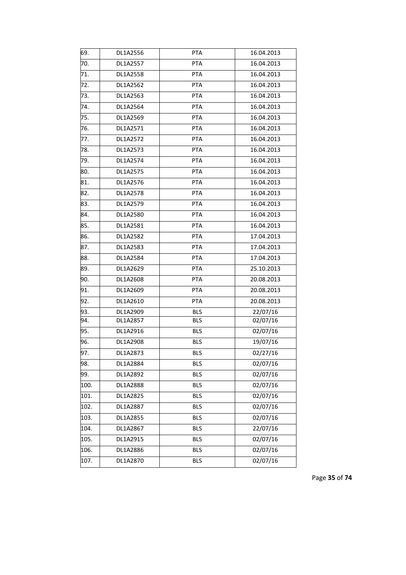| 69.  | DL1A2556 | <b>PTA</b> | 16.04.2013           |
|------|----------|------------|----------------------|
| 70.  | DL1A2557 | <b>PTA</b> | 16.04.2013           |
| 71.  | DL1A2558 | <b>PTA</b> | 16.04.2013           |
| 72.  | DL1A2562 | <b>PTA</b> | 16.04.2013           |
| 73.  | DL1A2563 | PTA        | 16.04.2013           |
| 74.  | DL1A2564 | PTA        | 16.04.2013           |
| 75.  | DL1A2569 | <b>PTA</b> | 16.04.2013           |
| 76.  | DL1A2571 | PTA        | 16.04.2013           |
| 77.  | DL1A2572 | PTA        | 16.04.2013           |
| 78.  | DL1A2573 | <b>PTA</b> | 16.04.2013           |
| 79.  | DL1A2574 | PTA        | 16.04.2013           |
| 80.  | DL1A2575 | <b>PTA</b> | 16.04.2013           |
| 81.  | DL1A2576 | <b>PTA</b> | 16.04.2013           |
| 82.  | DL1A2578 | <b>PTA</b> | 16.04.2013           |
| 83.  | DL1A2579 | <b>PTA</b> | 16.04.2013           |
| 84.  | DL1A2580 | PTA        | 16.04.2013           |
| 85.  | DL1A2581 | PTA        | 16.04.2013           |
| 86.  | DL1A2582 | PTA        | 17.04.2013           |
| 87.  | DL1A2583 | PTA        | 17.04.2013           |
| 88.  | DL1A2584 | PTA        | 17.04.2013           |
| 89.  | DL1A2629 | <b>PTA</b> | 25.10.2013           |
| 90.  | DL1A2608 | PTA        | 20.08.2013           |
| 91.  | DL1A2609 | PTA        | 20.08.2013           |
| 92.  | DL1A2610 | PTA        | 20.08.2013           |
| 93.  | DL1A2909 | <b>BLS</b> | 22/07/16             |
| 94.  | DL1A2857 | <b>BLS</b> | 02/07/16             |
| 95.  | DL1A2916 | <b>BLS</b> | 02/07/16             |
| 96.  | DL1A2908 | <b>BLS</b> | 19/07/16             |
| 97.  | DL1A2873 | <b>BLS</b> | 02/27/16             |
| 98.  | DL1A2884 | <b>BLS</b> | 02/07/16             |
| 99.  | DL1A2892 | <b>BLS</b> | 02/07/16             |
| 100. | DL1A2888 | <b>BLS</b> | 02/07/16             |
| 101. | DL1A2825 | <b>BLS</b> | 02/07/16             |
| 102. | DL1A2887 | <b>BLS</b> | 02/07/16             |
| 103. | DL1A2855 | <b>BLS</b> | 02/07/16             |
| 104. | DL1A2867 | <b>BLS</b> | $\frac{1}{22}/07/16$ |
| 105. | DL1A2915 | <b>BLS</b> | 02/07/16             |
| 106. | DL1A2886 | <b>BLS</b> | 02/07/16             |
| 107. | DL1A2870 | <b>BLS</b> | 02/07/16             |

Page **35** of **74**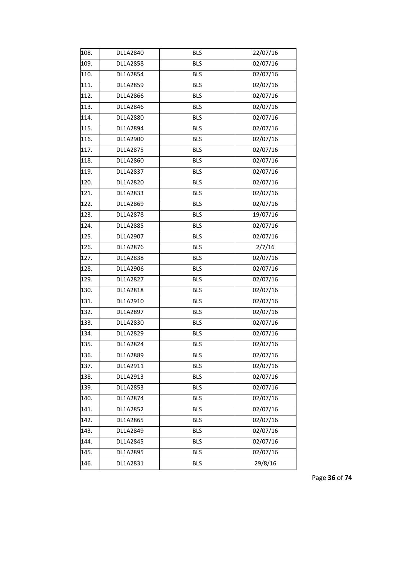| 108. | DL1A2840 | <b>BLS</b> | 22/07/16 |
|------|----------|------------|----------|
| 109. | DL1A2858 | <b>BLS</b> | 02/07/16 |
| 110. | DL1A2854 | <b>BLS</b> | 02/07/16 |
| 111. | DL1A2859 | <b>BLS</b> | 02/07/16 |
| 112. | DL1A2866 | <b>BLS</b> | 02/07/16 |
| 113. | DL1A2846 | <b>BLS</b> | 02/07/16 |
| 114. | DL1A2880 | <b>BLS</b> | 02/07/16 |
| 115. | DL1A2894 | <b>BLS</b> | 02/07/16 |
| 116. | DL1A2900 | <b>BLS</b> | 02/07/16 |
| 117. | DL1A2875 | <b>BLS</b> | 02/07/16 |
| 118. | DL1A2860 | <b>BLS</b> | 02/07/16 |
| 119. | DL1A2837 | <b>BLS</b> | 02/07/16 |
| 120. | DL1A2820 | <b>BLS</b> | 02/07/16 |
| 121. | DL1A2833 | <b>BLS</b> | 02/07/16 |
| 122. | DL1A2869 | <b>BLS</b> | 02/07/16 |
| 123. | DL1A2878 | <b>BLS</b> | 19/07/16 |
| 124. | DL1A2885 | <b>BLS</b> | 02/07/16 |
| 125. | DL1A2907 | <b>BLS</b> | 02/07/16 |
| 126. | DL1A2876 | <b>BLS</b> | 2/7/16   |
| 127. | DL1A2838 | <b>BLS</b> | 02/07/16 |
| 128. | DL1A2906 | <b>BLS</b> | 02/07/16 |
| 129. | DL1A2827 | <b>BLS</b> | 02/07/16 |
| 130. | DL1A2818 | <b>BLS</b> | 02/07/16 |
| 131. | DL1A2910 | <b>BLS</b> | 02/07/16 |
| 132. | DL1A2897 | <b>BLS</b> | 02/07/16 |
| 133. | DL1A2830 | <b>BLS</b> | 02/07/16 |
| 134. | DL1A2829 | <b>BLS</b> | 02/07/16 |
| 135. | DL1A2824 | <b>BLS</b> | 02/07/16 |
| 136. | DL1A2889 | <b>BLS</b> | 02/07/16 |
| 137. | DL1A2911 | <b>BLS</b> | 02/07/16 |
| 138. | DL1A2913 | <b>BLS</b> | 02/07/16 |
| 139. | DL1A2853 | <b>BLS</b> | 02/07/16 |
| 140. | DL1A2874 | <b>BLS</b> | 02/07/16 |
| 141. | DL1A2852 | <b>BLS</b> | 02/07/16 |
| 142. | DL1A2865 | <b>BLS</b> | 02/07/16 |
| 143. | DL1A2849 | <b>BLS</b> | 02/07/16 |
| 144. | DL1A2845 | <b>BLS</b> | 02/07/16 |
| 145. | DL1A2895 | <b>BLS</b> | 02/07/16 |
| 146. | DL1A2831 | <b>BLS</b> | 29/8/16  |

Page **36** of **74**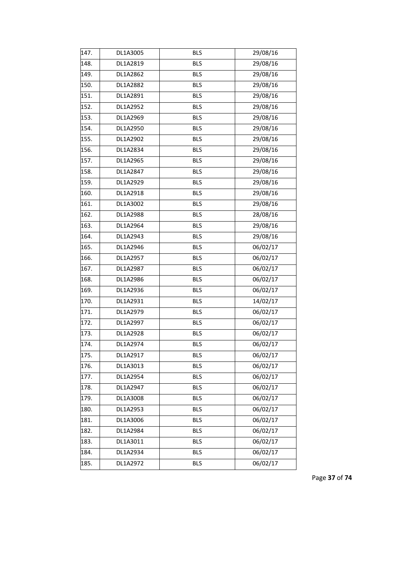| 147. | DL1A3005 | <b>BLS</b> | 29/08/16             |
|------|----------|------------|----------------------|
| 148. | DL1A2819 | <b>BLS</b> | 29/08/16             |
| 149. | DL1A2862 | <b>BLS</b> | 29/08/16             |
| 150. | DL1A2882 | <b>BLS</b> | 29/08/16             |
| 151. | DL1A2891 | <b>BLS</b> | 29/08/16             |
| 152. | DL1A2952 | <b>BLS</b> | 29/08/16             |
| 153. | DL1A2969 | <b>BLS</b> | 29/08/16             |
| 154. | DL1A2950 | <b>BLS</b> | 29/08/16             |
| 155. | DL1A2902 | <b>BLS</b> | 29/08/16             |
| 156. | DL1A2834 | <b>BLS</b> | 29/08/16             |
| 157. | DL1A2965 | <b>BLS</b> | 29/08/16             |
| 158. | DL1A2847 | <b>BLS</b> | 29/08/16             |
| 159. | DL1A2929 | <b>BLS</b> | 29/08/16             |
| 160. | DL1A2918 | <b>BLS</b> | 29/08/16             |
| 161. | DL1A3002 | <b>BLS</b> | 29/08/16             |
| 162. | DL1A2988 | <b>BLS</b> | 28/08/16             |
| 163. | DL1A2964 | <b>BLS</b> | 29/08/16             |
| 164. | DL1A2943 | <b>BLS</b> | 29/08/16             |
| 165. | DL1A2946 | <b>BLS</b> | 06/02/17             |
| 166. | DL1A2957 | <b>BLS</b> | 06/02/17             |
| 167. | DL1A2987 | <b>BLS</b> | 06/02/17             |
| 168. | DL1A2986 | <b>BLS</b> | 06/02/17             |
| 169. | DL1A2936 | <b>BLS</b> | 06/02/17             |
| 170. | DL1A2931 | <b>BLS</b> | 14/02/17             |
| 171. | DL1A2979 | <b>BLS</b> | 06/02/17             |
| 172. | DL1A2997 | <b>BLS</b> | 06/02/17             |
| 173. | DL1A2928 | <b>BLS</b> | 06/02/17             |
| 174. | DL1A2974 | <b>BLS</b> | 06/02/17             |
| 175. | DL1A2917 | <b>BLS</b> | $\frac{1}{06}/02/17$ |
| 176. | DL1A3013 | <b>BLS</b> | 06/02/17             |
| 177. | DL1A2954 | <b>BLS</b> | 06/02/17             |
| 178. | DL1A2947 | <b>BLS</b> | 06/02/17             |
| 179. | DL1A3008 | <b>BLS</b> | 06/02/17             |
| 180. | DL1A2953 | <b>BLS</b> | 06/02/17             |
| 181. | DL1A3006 | <b>BLS</b> | 06/02/17             |
| 182. | DL1A2984 | <b>BLS</b> | 06/02/17             |
| 183. | DL1A3011 | <b>BLS</b> | 06/02/17             |
| 184. | DL1A2934 | <b>BLS</b> | 06/02/17             |
| 185. | DL1A2972 | <b>BLS</b> | 06/02/17             |

Page **37** of **74**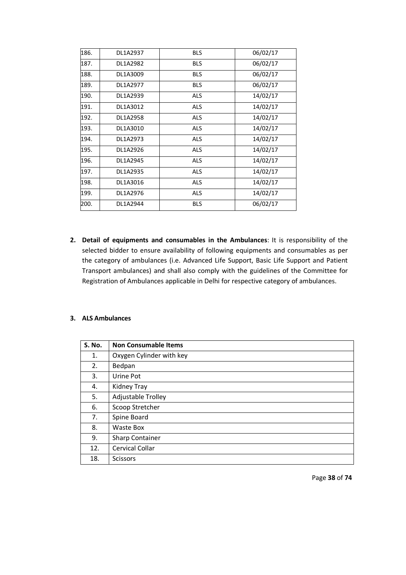| 186. | DL1A2937 | <b>BLS</b> | 06/02/17 |
|------|----------|------------|----------|
| 187. | DL1A2982 | <b>BLS</b> | 06/02/17 |
| 188. | DL1A3009 | <b>BLS</b> | 06/02/17 |
| 189. | DL1A2977 | <b>BLS</b> | 06/02/17 |
| 190. | DL1A2939 | <b>ALS</b> | 14/02/17 |
| 191. | DL1A3012 | <b>ALS</b> | 14/02/17 |
| 192. | DL1A2958 | <b>ALS</b> | 14/02/17 |
| 193. | DL1A3010 | <b>ALS</b> | 14/02/17 |
| 194. | DL1A2973 | <b>ALS</b> | 14/02/17 |
| 195. | DL1A2926 | <b>ALS</b> | 14/02/17 |
| 196. | DL1A2945 | <b>ALS</b> | 14/02/17 |
| 197. | DL1A2935 | <b>ALS</b> | 14/02/17 |
| 198. | DL1A3016 | <b>ALS</b> | 14/02/17 |
| 199. | DL1A2976 | <b>ALS</b> | 14/02/17 |
| 200. | DL1A2944 | <b>BLS</b> | 06/02/17 |

**2. Detail of equipments and consumables in the Ambulances**: It is responsibility of the selected bidder to ensure availability of following equipments and consumables as per the category of ambulances (i.e. Advanced Life Support, Basic Life Support and Patient Transport ambulances) and shall also comply with the guidelines of the Committee for Registration of Ambulances applicable in Delhi for respective category of ambulances.

# **3. ALS Ambulances**

| <b>S. No.</b> | <b>Non Consumable Items</b> |
|---------------|-----------------------------|
| 1.            | Oxygen Cylinder with key    |
| 2.            | Bedpan                      |
| 3.            | Urine Pot                   |
| 4.            | Kidney Tray                 |
| 5.            | Adjustable Trolley          |
| 6.            | Scoop Stretcher             |
| 7.            | Spine Board                 |
| 8.            | Waste Box                   |
| 9.            | <b>Sharp Container</b>      |
| 12.           | Cervical Collar             |
| 18.           | <b>Scissors</b>             |

Page **38** of **74**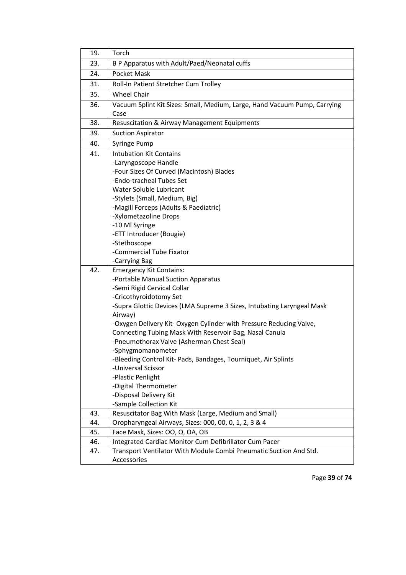| B P Apparatus with Adult/Paed/Neonatal cuffs                                              |  |  |
|-------------------------------------------------------------------------------------------|--|--|
| Pocket Mask                                                                               |  |  |
| Roll-In Patient Stretcher Cum Trolley                                                     |  |  |
|                                                                                           |  |  |
| Vacuum Splint Kit Sizes: Small, Medium, Large, Hand Vacuum Pump, Carrying                 |  |  |
|                                                                                           |  |  |
|                                                                                           |  |  |
|                                                                                           |  |  |
|                                                                                           |  |  |
|                                                                                           |  |  |
|                                                                                           |  |  |
|                                                                                           |  |  |
|                                                                                           |  |  |
|                                                                                           |  |  |
|                                                                                           |  |  |
|                                                                                           |  |  |
|                                                                                           |  |  |
|                                                                                           |  |  |
|                                                                                           |  |  |
|                                                                                           |  |  |
|                                                                                           |  |  |
| -Commercial Tube Fixator<br>-Carrying Bag                                                 |  |  |
|                                                                                           |  |  |
|                                                                                           |  |  |
|                                                                                           |  |  |
| -Semi Rigid Cervical Collar<br>-Cricothyroidotomy Set                                     |  |  |
| -Supra Glottic Devices (LMA Supreme 3 Sizes, Intubating Laryngeal Mask                    |  |  |
| Airway)                                                                                   |  |  |
| -Oxygen Delivery Kit- Oxygen Cylinder with Pressure Reducing Valve,                       |  |  |
| Connecting Tubing Mask With Reservoir Bag, Nasal Canula                                   |  |  |
| -Pneumothorax Valve (Asherman Chest Seal)                                                 |  |  |
|                                                                                           |  |  |
| -Bleeding Control Kit- Pads, Bandages, Tourniquet, Air Splints                            |  |  |
|                                                                                           |  |  |
|                                                                                           |  |  |
|                                                                                           |  |  |
|                                                                                           |  |  |
|                                                                                           |  |  |
| Resuscitator Bag With Mask (Large, Medium and Small)                                      |  |  |
| Oropharyngeal Airways, Sizes: 000, 00, 0, 1, 2, 3 & 4                                     |  |  |
|                                                                                           |  |  |
| Face Mask, Sizes: OO, O, OA, OB<br>Integrated Cardiac Monitor Cum Defibrillator Cum Pacer |  |  |
| Transport Ventilator With Module Combi Pneumatic Suction And Std.                         |  |  |
|                                                                                           |  |  |
| <b>Resuscitation &amp; Airway Management Equipments</b>                                   |  |  |

Page **39** of **74**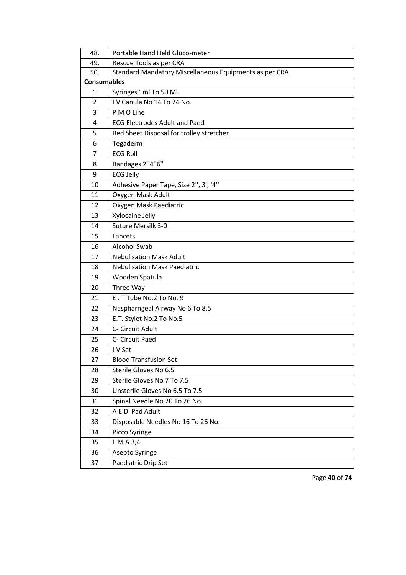| 48. | Portable Hand Held Gluco-meter                         |  |  |
|-----|--------------------------------------------------------|--|--|
| 49. | Rescue Tools as per CRA                                |  |  |
| 50. | Standard Mandatory Miscellaneous Equipments as per CRA |  |  |
|     | <b>Consumables</b>                                     |  |  |
| 1   | Syringes 1ml To 50 Ml.                                 |  |  |
| 2   | IV Canula No 14 To 24 No.                              |  |  |
| 3   | P M O Line                                             |  |  |
| 4   | <b>ECG Electrodes Adult and Paed</b>                   |  |  |
| 5   | Bed Sheet Disposal for trolley stretcher               |  |  |
| 6   | Tegaderm                                               |  |  |
| 7   | <b>ECG Roll</b>                                        |  |  |
| 8   | Bandages 2"4"6"                                        |  |  |
| 9   | <b>ECG Jelly</b>                                       |  |  |
| 10  | Adhesive Paper Tape, Size 2", 3', '4"                  |  |  |
| 11  | Oxygen Mask Adult                                      |  |  |
| 12  | Oxygen Mask Paediatric                                 |  |  |
| 13  | Xylocaine Jelly                                        |  |  |
| 14  | Suture Mersilk 3-0                                     |  |  |
| 15  | Lancets                                                |  |  |
| 16  | <b>Alcohol Swab</b>                                    |  |  |
| 17  | <b>Nebulisation Mask Adult</b>                         |  |  |
| 18  | <b>Nebulisation Mask Paediatric</b>                    |  |  |
| 19  | Wooden Spatula                                         |  |  |
| 20  | Three Way                                              |  |  |
| 21  | E.T Tube No.2 To No. 9                                 |  |  |
| 22  | Naspharngeal Airway No 6 To 8.5                        |  |  |
| 23  | E.T. Stylet No.2 To No.5                               |  |  |
| 24  | C- Circuit Adult                                       |  |  |
| 25  | C- Circuit Paed                                        |  |  |
| 26  | I V Set                                                |  |  |
| 27  | <b>Blood Transfusion Set</b>                           |  |  |
| 28  | Sterile Gloves No 6.5                                  |  |  |
| 29  | Sterile Gloves No 7 To 7.5                             |  |  |
| 30  | Unsterile Gloves No 6.5 To 7.5                         |  |  |
| 31  | Spinal Needle No 20 To 26 No.                          |  |  |
| 32  | A E D Pad Adult                                        |  |  |
| 33  | Disposable Needles No 16 To 26 No.                     |  |  |
| 34  | Picco Syringe                                          |  |  |
| 35  | L M A 3,4                                              |  |  |
| 36  | Asepto Syringe                                         |  |  |
| 37  | Paediatric Drip Set                                    |  |  |

Page **40** of **74**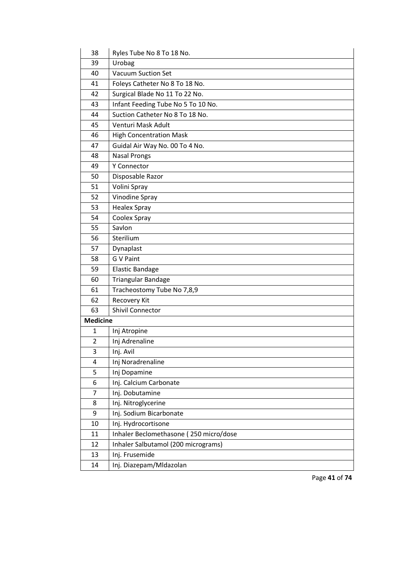| 38              | Ryles Tube No 8 To 18 No.              |
|-----------------|----------------------------------------|
| 39              | Urobag                                 |
| 40              | <b>Vacuum Suction Set</b>              |
| 41              | Foleys Catheter No 8 To 18 No.         |
| 42              | Surgical Blade No 11 To 22 No.         |
| 43              | Infant Feeding Tube No 5 To 10 No.     |
| 44              | Suction Catheter No 8 To 18 No.        |
| 45              | Venturi Mask Adult                     |
| 46              | <b>High Concentration Mask</b>         |
| 47              | Guidal Air Way No. 00 To 4 No.         |
| 48              | <b>Nasal Prongs</b>                    |
| 49              | Y Connector                            |
| 50              | Disposable Razor                       |
| 51              | Volini Spray                           |
| 52              | Vinodine Spray                         |
| 53              | <b>Healex Spray</b>                    |
| 54              | Coolex Spray                           |
| 55              | Savlon                                 |
| 56              | Sterilium                              |
| 57              | Dynaplast                              |
| 58              | G V Paint                              |
| 59              | <b>Elastic Bandage</b>                 |
| 60              | Triangular Bandage                     |
| 61              | Tracheostomy Tube No 7,8,9             |
| 62              | Recovery Kit                           |
| 63              | <b>Shivil Connector</b>                |
| <b>Medicine</b> |                                        |
| $\mathbf{1}$    | Inj Atropine                           |
| $\overline{2}$  | Inj Adrenaline                         |
| 3               | Inj. Avil                              |
| 4               | Inj Noradrenaline                      |
| 5               | Inj Dopamine                           |
| 6               | Inj. Calcium Carbonate                 |
| 7               | Inj. Dobutamine                        |
| 8               | Inj. Nitroglycerine                    |
| 9               | Inj. Sodium Bicarbonate                |
| $10\,$          | Inj. Hydrocortisone                    |
| 11              | Inhaler Beclomethasone (250 micro/dose |
| 12              | Inhaler Salbutamol (200 micrograms)    |
| 13              | Inj. Frusemide                         |
| 14              | Inj. Diazepam/Mldazolan                |

Page **41** of **74**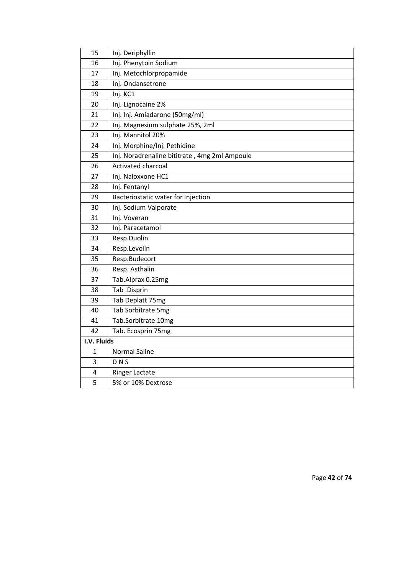| 15          | Inj. Deriphyllin                              |  |
|-------------|-----------------------------------------------|--|
| 16          | Inj. Phenytoin Sodium                         |  |
| 17          | Inj. Metochlorpropamide                       |  |
| 18          | Inj. Ondansetrone                             |  |
| 19          | Inj. KC1                                      |  |
| 20          | Inj. Lignocaine 2%                            |  |
| 21          | Inj. Inj. Amiadarone (50mg/ml)                |  |
| 22          | Inj. Magnesium sulphate 25%, 2ml              |  |
| 23          | Inj. Mannitol 20%                             |  |
| 24          | Inj. Morphine/Inj. Pethidine                  |  |
| 25          | Inj. Noradrenaline bititrate, 4mg 2ml Ampoule |  |
| 26          | Activated charcoal                            |  |
| 27          | Inj. Naloxxone HC1                            |  |
| 28          | Inj. Fentanyl                                 |  |
| 29          | Bacteriostatic water for Injection            |  |
| 30          | Inj. Sodium Valporate                         |  |
| 31          | Inj. Voveran                                  |  |
| 32          | Inj. Paracetamol                              |  |
| 33          | Resp.Duolin                                   |  |
| 34          | Resp.Levolin                                  |  |
| 35          | Resp.Budecort                                 |  |
| 36          | Resp. Asthalin                                |  |
| 37          | Tab.Alprax 0.25mg                             |  |
| 38          | Tab .Disprin                                  |  |
| 39          | Tab Deplatt 75mg                              |  |
| 40          | Tab Sorbitrate 5mg                            |  |
| 41          | Tab.Sorbitrate 10mg                           |  |
| 42          | Tab. Ecosprin 75mg                            |  |
| I.V. Fluids |                                               |  |
| 1           | <b>Normal Saline</b>                          |  |
| 3           | <b>DNS</b>                                    |  |
| 4           | <b>Ringer Lactate</b>                         |  |
| 5           | 5% or 10% Dextrose                            |  |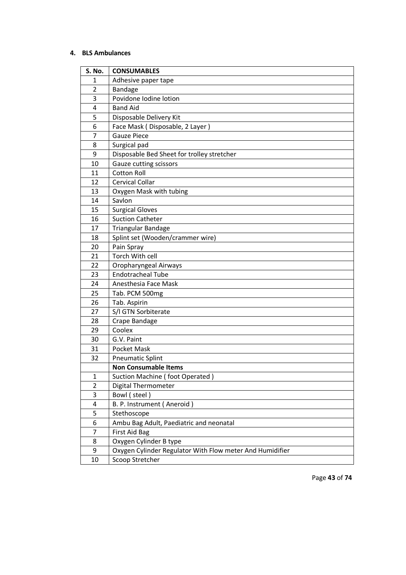# **4. BLS Ambulances**

| S. No.         | <b>CONSUMABLES</b>                                       |  |
|----------------|----------------------------------------------------------|--|
| 1              | Adhesive paper tape                                      |  |
| $\overline{2}$ | Bandage                                                  |  |
| 3              | Povidone Iodine lotion                                   |  |
| 4              | <b>Band Aid</b>                                          |  |
| 5              | Disposable Delivery Kit                                  |  |
| 6              | Face Mask (Disposable, 2 Layer)                          |  |
| 7              | <b>Gauze Piece</b>                                       |  |
| 8              | Surgical pad                                             |  |
| 9              | Disposable Bed Sheet for trolley stretcher               |  |
| 10             | Gauze cutting scissors                                   |  |
| 11             | <b>Cotton Roll</b>                                       |  |
| 12             | <b>Cervical Collar</b>                                   |  |
| 13             | Oxygen Mask with tubing                                  |  |
| 14             | Savlon                                                   |  |
| 15             | <b>Surgical Gloves</b>                                   |  |
| 16             | <b>Suction Catheter</b>                                  |  |
| 17             | Triangular Bandage                                       |  |
| 18             | Splint set (Wooden/crammer wire)                         |  |
| 20             | Pain Spray                                               |  |
| 21             | Torch With cell                                          |  |
| 22             | Oropharyngeal Airways                                    |  |
| 23             | <b>Endotracheal Tube</b>                                 |  |
| 24             | Anesthesia Face Mask                                     |  |
| 25             | Tab. PCM 500mg                                           |  |
| 26             | Tab. Aspirin                                             |  |
| 27             | S/I GTN Sorbiterate                                      |  |
| 28             | Crape Bandage                                            |  |
| 29             | Coolex                                                   |  |
| 30             | G.V. Paint                                               |  |
| 31             | Pocket Mask                                              |  |
| 32             | <b>Pneumatic Splint</b>                                  |  |
|                | <b>Non Consumable Items</b>                              |  |
| $\mathbf{1}$   | Suction Machine (foot Operated)                          |  |
| $\overline{2}$ | <b>Digital Thermometer</b>                               |  |
| 3              | Bowl (steel)                                             |  |
| 4              | B. P. Instrument (Aneroid)                               |  |
| 5              | Stethoscope                                              |  |
| 6              | Ambu Bag Adult, Paediatric and neonatal                  |  |
| 7              | First Aid Bag                                            |  |
| 8              | Oxygen Cylinder B type                                   |  |
| 9              | Oxygen Cylinder Regulator With Flow meter And Humidifier |  |
| 10             | Scoop Stretcher                                          |  |

Page **43** of **74**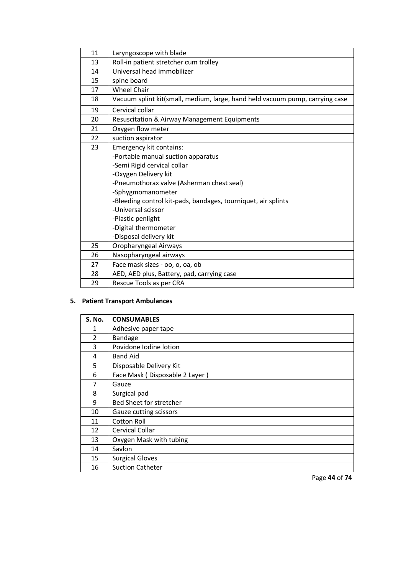| 11 | Laryngoscope with blade                                                      |  |  |
|----|------------------------------------------------------------------------------|--|--|
| 13 | Roll-in patient stretcher cum trolley                                        |  |  |
| 14 | Universal head immobilizer                                                   |  |  |
| 15 | spine board                                                                  |  |  |
| 17 | <b>Wheel Chair</b>                                                           |  |  |
| 18 | Vacuum splint kit(small, medium, large, hand held vacuum pump, carrying case |  |  |
| 19 | Cervical collar                                                              |  |  |
| 20 | Resuscitation & Airway Management Equipments                                 |  |  |
| 21 | Oxygen flow meter                                                            |  |  |
| 22 | suction aspirator                                                            |  |  |
| 23 | Emergency kit contains:                                                      |  |  |
|    | -Portable manual suction apparatus                                           |  |  |
|    | -Semi Rigid cervical collar                                                  |  |  |
|    | -Oxygen Delivery kit                                                         |  |  |
|    | -Pneumothorax valve (Asherman chest seal)                                    |  |  |
|    | -Sphygmomanometer                                                            |  |  |
|    | -Bleeding control kit-pads, bandages, tourniquet, air splints                |  |  |
|    | -Universal scissor                                                           |  |  |
|    | -Plastic penlight                                                            |  |  |
|    | -Digital thermometer                                                         |  |  |
|    | -Disposal delivery kit                                                       |  |  |
| 25 | Oropharyngeal Airways                                                        |  |  |
| 26 | Nasopharyngeal airways                                                       |  |  |
| 27 | Face mask sizes - oo, o, oa, ob                                              |  |  |
| 28 | AED, AED plus, Battery, pad, carrying case                                   |  |  |
| 29 | Rescue Tools as per CRA                                                      |  |  |

# **5. Patient Transport Ambulances**

| <b>S. No.</b>  | <b>CONSUMABLES</b>             |
|----------------|--------------------------------|
| 1              | Adhesive paper tape            |
| $\overline{2}$ | <b>Bandage</b>                 |
| 3              | Povidone Iodine lotion         |
| 4              | <b>Band Aid</b>                |
| 5              | Disposable Delivery Kit        |
| 6              | Face Mask (Disposable 2 Layer) |
| 7              | Gauze                          |
| 8              | Surgical pad                   |
| 9              | Bed Sheet for stretcher        |
| 10             | Gauze cutting scissors         |
| 11             | <b>Cotton Roll</b>             |
| 12             | Cervical Collar                |
| 13             | Oxygen Mask with tubing        |
| 14             | Savlon                         |
| 15             | <b>Surgical Gloves</b>         |
| 16             | <b>Suction Catheter</b>        |

Page **44** of **74**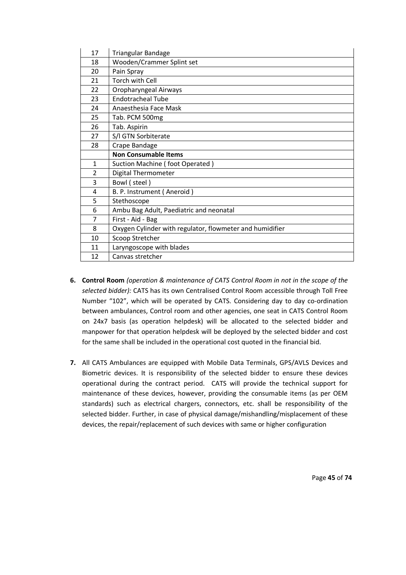| 17             | Triangular Bandage                                       |
|----------------|----------------------------------------------------------|
| 18             | Wooden/Crammer Splint set                                |
| 20             | Pain Spray                                               |
| 21             | Torch with Cell                                          |
| 22             | Oropharyngeal Airways                                    |
| 23             | <b>Endotracheal Tube</b>                                 |
| 24             | Anaesthesia Face Mask                                    |
| 25             | Tab. PCM 500mg                                           |
| 26             | Tab. Aspirin                                             |
| 27             | S/I GTN Sorbiterate                                      |
| 28             | Crape Bandage                                            |
|                | <b>Non Consumable Items</b>                              |
| 1              | Suction Machine (foot Operated)                          |
| $\overline{2}$ | Digital Thermometer                                      |
| 3              | Bowl (steel)                                             |
| 4              | B. P. Instrument (Aneroid)                               |
| 5              | Stethoscope                                              |
| 6              | Ambu Bag Adult, Paediatric and neonatal                  |
| 7              | First - Aid - Bag                                        |
| 8              | Oxygen Cylinder with regulator, flowmeter and humidifier |
| 10             | Scoop Stretcher                                          |
| 11             | Laryngoscope with blades                                 |
| 12             | Canvas stretcher                                         |

- **6. Control Room** *(operation & maintenance of CATS Control Room in not in the scope of the selected bidder):* CATS has its own Centralised Control Room accessible through Toll Free Number "102", which will be operated by CATS. Considering day to day co-ordination between ambulances, Control room and other agencies, one seat in CATS Control Room on 24x7 basis (as operation helpdesk) will be allocated to the selected bidder and manpower for that operation helpdesk will be deployed by the selected bidder and cost for the same shall be included in the operational cost quoted in the financial bid.
- **7.** All CATS Ambulances are equipped with Mobile Data Terminals, GPS/AVLS Devices and Biometric devices. It is responsibility of the selected bidder to ensure these devices operational during the contract period. CATS will provide the technical support for maintenance of these devices, however, providing the consumable items (as per OEM standards) such as electrical chargers, connectors, etc. shall be responsibility of the selected bidder. Further, in case of physical damage/mishandling/misplacement of these devices, the repair/replacement of such devices with same or higher configuration

Page **45** of **74**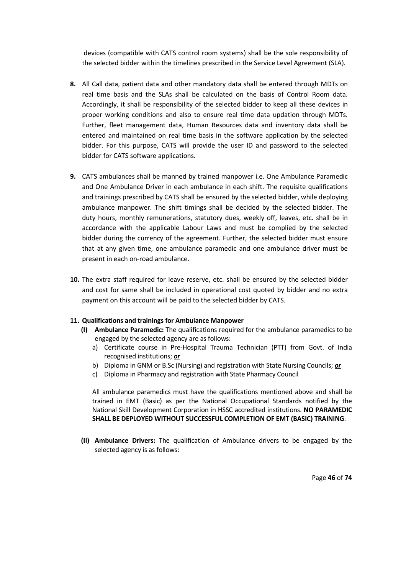devices (compatible with CATS control room systems) shall be the sole responsibility of the selected bidder within the timelines prescribed in the Service Level Agreement (SLA).

- **8.** All Call data, patient data and other mandatory data shall be entered through MDTs on real time basis and the SLAs shall be calculated on the basis of Control Room data. Accordingly, it shall be responsibility of the selected bidder to keep all these devices in proper working conditions and also to ensure real time data updation through MDTs. Further, fleet management data, Human Resources data and inventory data shall be entered and maintained on real time basis in the software application by the selected bidder. For this purpose, CATS will provide the user ID and password to the selected bidder for CATS software applications.
- **9.** CATS ambulances shall be manned by trained manpower i.e. One Ambulance Paramedic and One Ambulance Driver in each ambulance in each shift. The requisite qualifications and trainings prescribed by CATS shall be ensured by the selected bidder, while deploying ambulance manpower. The shift timings shall be decided by the selected bidder. The duty hours, monthly remunerations, statutory dues, weekly off, leaves, etc. shall be in accordance with the applicable Labour Laws and must be complied by the selected bidder during the currency of the agreement. Further, the selected bidder must ensure that at any given time, one ambulance paramedic and one ambulance driver must be present in each on-road ambulance.
- **10.** The extra staff required for leave reserve, etc. shall be ensured by the selected bidder and cost for same shall be included in operational cost quoted by bidder and no extra payment on this account will be paid to the selected bidder by CATS.

## **11. Qualifications and trainings for Ambulance Manpower**

- **(I) Ambulance Paramedic:** The qualifications required for the ambulance paramedics to be engaged by the selected agency are as follows:
	- a) Certificate course in Pre-Hospital Trauma Technician (PTT) from Govt. of India recognised institutions; *or*
	- b) Diploma in GNM or B.Sc (Nursing) and registration with State Nursing Councils; *or*
	- c) Diploma in Pharmacy and registration with State Pharmacy Council

All ambulance paramedics must have the qualifications mentioned above and shall be trained in EMT (Basic) as per the National Occupational Standards notified by the National Skill Development Corporation in HSSC accredited institutions. **NO PARAMEDIC SHALL BE DEPLOYED WITHOUT SUCCESSFUL COMPLETION OF EMT (BASIC) TRAINING**.

**(II) Ambulance Drivers:** The qualification of Ambulance drivers to be engaged by the selected agency is as follows:

Page **46** of **74**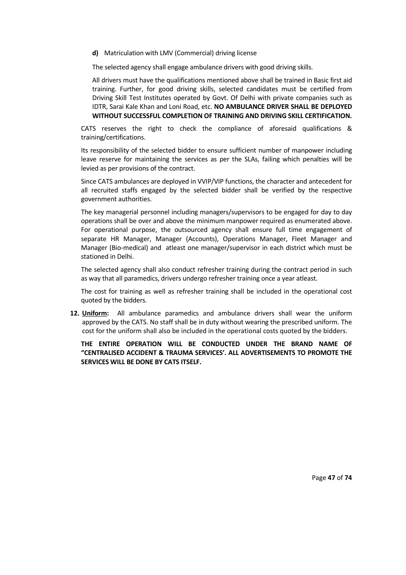**d)** Matriculation with LMV (Commercial) driving license

The selected agency shall engage ambulance drivers with good driving skills.

All drivers must have the qualifications mentioned above shall be trained in Basic first aid training. Further, for good driving skills, selected candidates must be certified from Driving Skill Test Institutes operated by Govt. Of Delhi with private companies such as IDTR, Sarai Kale Khan and Loni Road, etc. **NO AMBULANCE DRIVER SHALL BE DEPLOYED WITHOUT SUCCESSFUL COMPLETION OF TRAINING AND DRIVING SKILL CERTIFICATION.** 

CATS reserves the right to check the compliance of aforesaid qualifications & training/certifications.

Its responsibility of the selected bidder to ensure sufficient number of manpower including leave reserve for maintaining the services as per the SLAs, failing which penalties will be levied as per provisions of the contract.

Since CATS ambulances are deployed in VVIP/VIP functions, the character and antecedent for all recruited staffs engaged by the selected bidder shall be verified by the respective government authorities.

The key managerial personnel including managers/supervisors to be engaged for day to day operations shall be over and above the minimum manpower required as enumerated above. For operational purpose, the outsourced agency shall ensure full time engagement of separate HR Manager, Manager (Accounts), Operations Manager, Fleet Manager and Manager (Bio-medical) and atleast one manager/supervisor in each district which must be stationed in Delhi.

The selected agency shall also conduct refresher training during the contract period in such as way that all paramedics, drivers undergo refresher training once a year atleast.

The cost for training as well as refresher training shall be included in the operational cost quoted by the bidders.

**12. Uniform:** All ambulance paramedics and ambulance drivers shall wear the uniform approved by the CATS. No staff shall be in duty without wearing the prescribed uniform. The cost for the uniform shall also be included in the operational costs quoted by the bidders.

**THE ENTIRE OPERATION WILL BE CONDUCTED UNDER THE BRAND NAME OF "CENTRALISED ACCIDENT & TRAUMA SERVICES'. ALL ADVERTISEMENTS TO PROMOTE THE SERVICES WILL BE DONE BY CATS ITSELF.**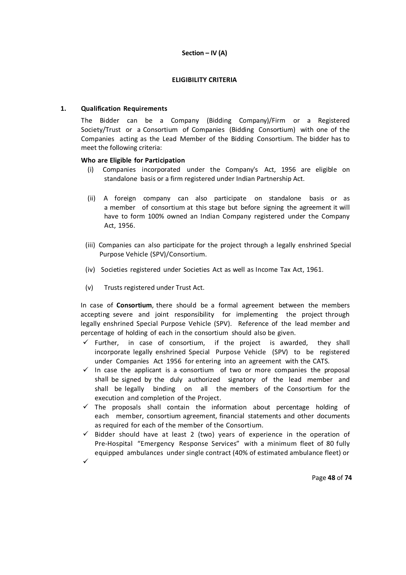## **Section – IV (A)**

## **ELIGIBILITY CRITERIA**

## **1. Qualification Requirements**

The Bidder can be a Company (Bidding Company)/Firm or a Registered Society/Trust or a Consortium of Companies (Bidding Consortium) with one of the Companies acting as the Lead Member of the Bidding Consortium. The bidder has to meet the following criteria:

## **Who are Eligible for Participation**

- (i) Companies incorporated under the Company's Act, 1956 are eligible on standalone basis or a firm registered under Indian Partnership Act.
- (ii) A foreign company can also participate on standalone basis or as a member of consortium at this stage but before signing the agreement it will have to form 100% owned an Indian Company registered under the Company Act, 1956.
- (iii) Companies can also participate for the project through a legally enshrined Special Purpose Vehicle (SPV)/Consortium.
- (iv) Societies registered under Societies Act as well as Income Tax Act, 1961.
- (v) Trusts registered under Trust Act.

In case of **Consortium**, there should be a formal agreement between the members accepting severe and joint responsibility for implementing the project through legally enshrined Special Purpose Vehicle (SPV). Reference of the lead member and percentage of holding of each in the consortium should also be given.

- $\checkmark$  Further, in case of consortium, if the project is awarded, they shall incorporate legally enshrined Special Purpose Vehicle (SPV) to be registered under Companies Act 1956 for entering into an agreement with the CATS.
- $\checkmark$  In case the applicant is a consortium of two or more companies the proposal shall be signed by the duly authorized signatory of the lead member and shall be legally binding on all the members of the Consortium for the execution and completion of the Project.
- $\checkmark$  The proposals shall contain the information about percentage holding of each member, consortium agreement, financial statements and other documents as required for each of the member of the Consortium.
- $\checkmark$  Bidder should have at least 2 (two) years of experience in the operation of Pre-Hospital "Emergency Response Services" with a minimum fleet of 80 fully equipped ambulances under single contract (40% of estimated ambulance fleet) or
- $\checkmark$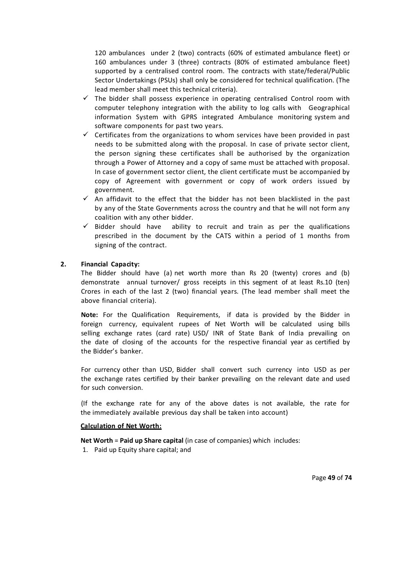120 ambulances under 2 (two) contracts (60% of estimated ambulance fleet) or 160 ambulances under 3 (three) contracts (80% of estimated ambulance fleet) supported by a centralised control room. The contracts with state/federal/Public Sector Undertakings (PSUs) shall only be considered for technical qualification. (The lead member shall meet this technical criteria).

- $\checkmark$  The bidder shall possess experience in operating centralised Control room with computer telephony integration with the ability to log calls with Geographical information System with GPRS integrated Ambulance monitoring system and software components for past two years.
- $\checkmark$  Certificates from the organizations to whom services have been provided in past needs to be submitted along with the proposal. In case of private sector client, the person signing these certificates shall be authorised by the organization through a Power of Attorney and a copy of same must be attached with proposal. In case of government sector client, the client certificate must be accompanied by copy of Agreement with government or copy of work orders issued by government.
- $\checkmark$  An affidavit to the effect that the bidder has not been blacklisted in the past by any of the State Governments across the country and that he will not form any coalition with any other bidder.
- $\checkmark$  Bidder should have ability to recruit and train as per the qualifications prescribed in the document by the CATS within a period of 1 months from signing of the contract.

## **2. Financial Capacity:**

The Bidder should have (a) net worth more than Rs 20 (twenty) crores and (b) demonstrate annual turnover/ gross receipts in this segment of at least Rs.10 (ten) Crores in each of the last 2 (two) financial years. (The lead member shall meet the above financial criteria).

**Note:** For the Qualification Requirements, if data is provided by the Bidder in foreign currency, equivalent rupees of Net Worth will be calculated using bills selling exchange rates (card rate) USD/ INR of State Bank of India prevailing on the date of closing of the accounts for the respective financial year as certified by the Bidder's banker.

For currency other than USD, Bidder shall convert such currency into USD as per the exchange rates certified by their banker prevailing on the relevant date and used for such conversion.

(If the exchange rate for any of the above dates is not available, the rate for the immediately available previous day shall be taken into account)

#### **Calculation of Net Worth:**

**Net Worth** = **Paid up Share capital** (in case of companies) which includes:

1. Paid up Equity share capital; and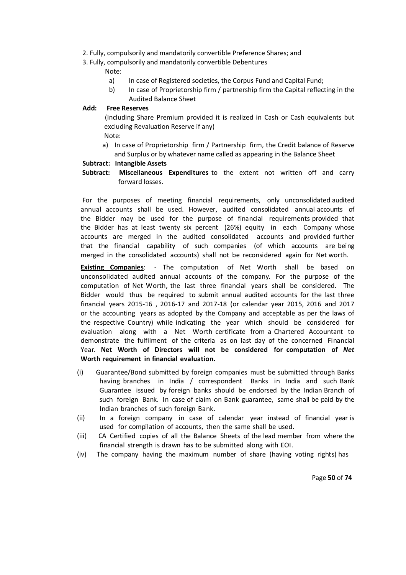- 2. Fully, compulsorily and mandatorily convertible Preference Shares; and
- 3. Fully, compulsorily and mandatorily convertible Debentures

Note:

- a) In case of Registered societies, the Corpus Fund and Capital Fund;
- b) In case of Proprietorship firm / partnership firm the Capital reflecting in the Audited Balance Sheet

# **Add: Free Reserves**

(Including Share Premium provided it is realized in Cash or Cash equivalents but excluding Revaluation Reserve if any) Note:

a) In case of Proprietorship firm / Partnership firm, the Credit balance of Reserve and Surplus or by whatever name called as appearing in the Balance Sheet

## **Subtract: Intangible Assets**

 **Subtract: Miscellaneous Expenditures** to the extent not written off and carry forward losses.

For the purposes of meeting financial requirements, only unconsolidated audited annual accounts shall be used. However, audited consolidated annual accounts of the Bidder may be used for the purpose of financial requirements provided that the Bidder has at least twenty six percent (26%) equity in each Company whose accounts are merged in the audited consolidated accounts and provided further that the financial capability of such companies (of which accounts are being merged in the consolidated accounts) shall not be reconsidered again for Net worth.

**Existing Companies**: - The computation of Net Worth shall be based on unconsolidated audited annual accounts of the company. For the purpose of the computation of Net Worth, the last three financial years shall be considered. The Bidder would thus be required to submit annual audited accounts for the last three financial years 2015-16 , 2016-17 and 2017-18 (or calendar year 2015, 2016 and 2017 or the accounting years as adopted by the Company and acceptable as per the laws of the respective Country) while indicating the year which should be considered for evaluation along with a Net Worth certificate from a Chartered Accountant to demonstrate the fulfilment of the criteria as on last day of the concerned Financial Year. **Net Worth of Directors will not be considered for computation of** *Net*  **Worth requirement in financial evaluation.**

- (i) Guarantee/Bond submitted by foreign companies must be submitted through Banks having branches in India / correspondent Banks in India and such Bank Guarantee issued by foreign banks should be endorsed by the Indian Branch of such foreign Bank. In case of claim on Bank guarantee, same shall be paid by the Indian branches of such foreign Bank.
- (ii) In a foreign company in case of calendar year instead of financial year is used for compilation of accounts, then the same shall be used.
- (iii) CA Certified copies of all the Balance Sheets of the lead member from where the financial strength is drawn has to be submitted along with EOI.
- (iv) The company having the maximum number of share (having voting rights) has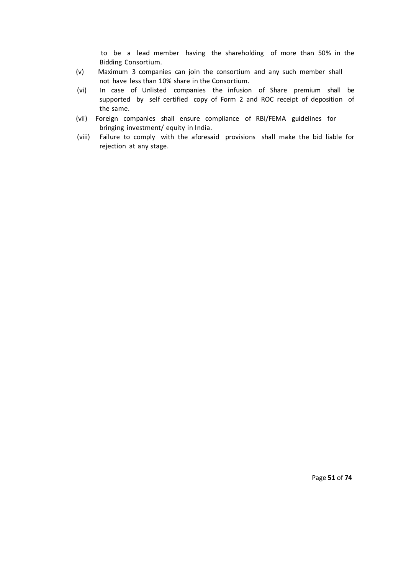to be a lead member having the shareholding of more than 50% in the Bidding Consortium.

- (v) Maximum 3 companies can join the consortium and any such member shall not have less than 10% share in the Consortium.
- (vi) In case of Unlisted companies the infusion of Share premium shall be supported by self certified copy of Form 2 and ROC receipt of deposition of the same.
- (vii) Foreign companies shall ensure compliance of RBI/FEMA guidelines for bringing investment/ equity in India.
- (viii) Failure to comply with the aforesaid provisions shall make the bid liable for rejection at any stage.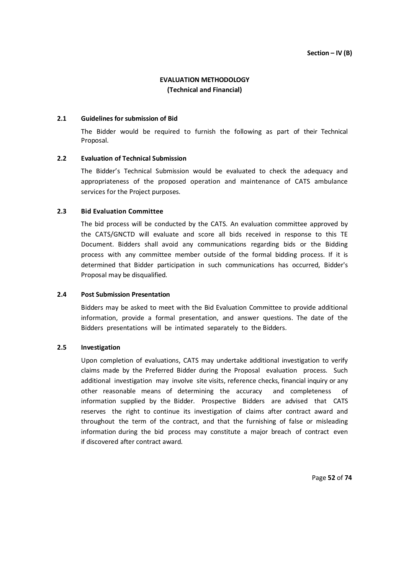# **EVALUATION METHODOLOGY (Technical and Financial)**

#### **2.1 Guidelines for submission of Bid**

The Bidder would be required to furnish the following as part of their Technical Proposal.

## **2.2 Evaluation of Technical Submission**

The Bidder's Technical Submission would be evaluated to check the adequacy and appropriateness of the proposed operation and maintenance of CATS ambulance services for the Project purposes.

## **2.3 Bid Evaluation Committee**

The bid process will be conducted by the CATS. An evaluation committee approved by the CATS/GNCTD will evaluate and score all bids received in response to this TE Document. Bidders shall avoid any communications regarding bids or the Bidding process with any committee member outside of the formal bidding process. If it is determined that Bidder participation in such communications has occurred, Bidder's Proposal may be disqualified.

## **2.4 Post Submission Presentation**

Bidders may be asked to meet with the Bid Evaluation Committee to provide additional information, provide a formal presentation, and answer questions. The date of the Bidders presentations will be intimated separately to the Bidders.

#### **2.5 Investigation**

Upon completion of evaluations, CATS may undertake additional investigation to verify claims made by the Preferred Bidder during the Proposal evaluation process. Such additional investigation may involve site visits, reference checks, financial inquiry or any other reasonable means of determining the accuracy and completeness of information supplied by the Bidder. Prospective Bidders are advised that CATS reserves the right to continue its investigation of claims after contract award and throughout the term of the contract, and that the furnishing of false or misleading information during the bid process may constitute a major breach of contract even if discovered after contract award.

Page **52** of **74**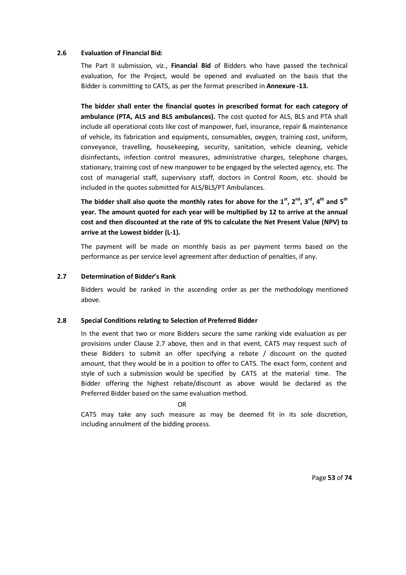## **2.6 Evaluation of Financial Bid:**

The Part II submission, viz., **Financial Bid** of Bidders who have passed the technical evaluation, for the Project, would be opened and evaluated on the basis that the Bidder is committing to CATS, as per the format prescribed in **Annexure -13.** 

**The bidder shall enter the financial quotes in prescribed format for each category of ambulance (PTA, ALS and BLS ambulances).** The cost quoted for ALS, BLS and PTA shall include all operational costs like cost of manpower, fuel, insurance, repair & maintenance of vehicle, its fabrication and equipments, consumables, oxygen, training cost, uniform, conveyance, travelling, housekeeping, security, sanitation, vehicle cleaning, vehicle disinfectants, infection control measures, administrative charges, telephone charges, stationary, training cost of new manpower to be engaged by the selected agency, etc. The cost of managerial staff, supervisory staff, doctors in Control Room, etc. should be included in the quotes submitted for ALS/BLS/PT Ambulances.

**The bidder shall also quote the monthly rates for above for the 1st, 2nd, 3rd, 4th and 5th year. The amount quoted for each year will be multiplied by 12 to arrive at the annual cost and then discounted at the rate of 9% to calculate the Net Present Value (NPV) to arrive at the Lowest bidder (L-1).** 

The payment will be made on monthly basis as per payment terms based on the performance as per service level agreement after deduction of penalties, if any.

## **2.7 Determination of Bidder's Rank**

Bidders would be ranked in the ascending order as per the methodology mentioned above.

#### **2.8 Special Conditions relating to Selection of Preferred Bidder**

In the event that two or more Bidders secure the same ranking vide evaluation as per provisions under Clause 2.7 above, then and in that event, CATS may request such of these Bidders to submit an offer specifying a rebate / discount on the quoted amount, that they would be in a position to offer to CATS. The exact form, content and style of such a submission would be specified by CATS at the material time. The Bidder offering the highest rebate/discount as above would be declared as the Preferred Bidder based on the same evaluation method.

#### OR

CATS may take any such measure as may be deemed fit in its sole discretion, including annulment of the bidding process.

Page **53** of **74**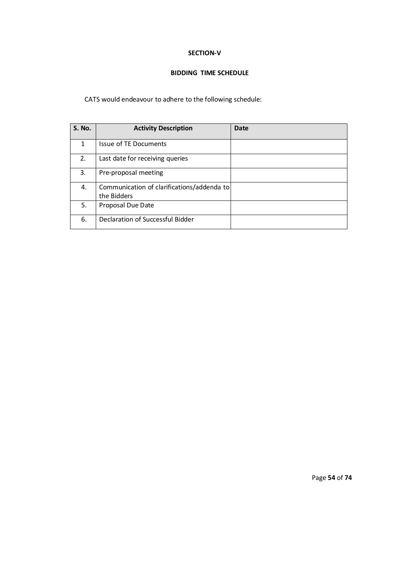## **SECTION-V**

# **BIDDING TIME SCHEDULE**

# CATS would endeavour to adhere to the following schedule:

| <b>S. No.</b> | <b>Activity Description</b>                               | <b>Date</b> |
|---------------|-----------------------------------------------------------|-------------|
| 1             | <b>Issue of TE Documents</b>                              |             |
| 2.            | Last date for receiving queries                           |             |
| 3.            | Pre-proposal meeting                                      |             |
| 4.            | Communication of clarifications/addenda to<br>the Bidders |             |
| 5.            | Proposal Due Date                                         |             |
| 6.            | Declaration of Successful Bidder                          |             |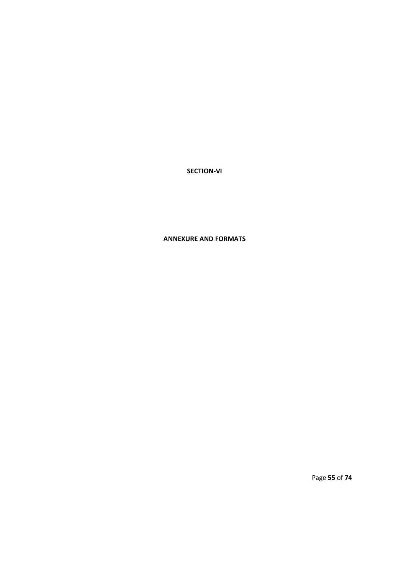# **SECTION-VI**

# **ANNEXURE AND FORMATS**

Page **55** of **74**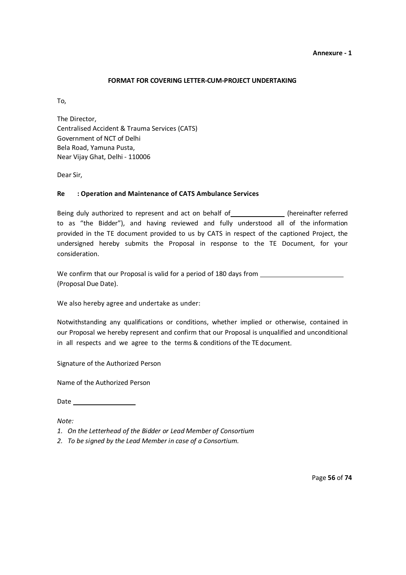## **FORMAT FOR COVERING LETTER-CUM-PROJECT UNDERTAKING**

To,

The Director, Centralised Accident & Trauma Services (CATS) Government of NCT of Delhi Bela Road, Yamuna Pusta, Near Vijay Ghat, Delhi - 110006

Dear Sir,

## **Re : Operation and Maintenance of CATS Ambulance Services**

Being duly authorized to represent and act on behalf of \_\_\_\_\_\_\_\_\_\_\_\_\_(hereinafter referred to as "the Bidder"), and having reviewed and fully understood all of the information provided in the TE document provided to us by CATS in respect of the captioned Project, the undersigned hereby submits the Proposal in response to the TE Document, for your consideration.

We confirm that our Proposal is valid for a period of 180 days from (Proposal Due Date).

We also hereby agree and undertake as under:

Notwithstanding any qualifications or conditions, whether implied or otherwise, contained in our Proposal we hereby represent and confirm that our Proposal is unqualified and unconditional in all respects and we agree to the terms & conditions of the TE document.

Signature of the Authorized Person

Name of the Authorized Person

Date and the state of the state of the state of the state of the state of the state of the state of the state of the state of the state of the state of the state of the state of the state of the state of the state of the s

*Note:*

- *1. On the Letterhead of the Bidder or Lead Member of Consortium*
- *2. To be signed by the Lead Member in case of a Consortium.*

Page **56** of **74**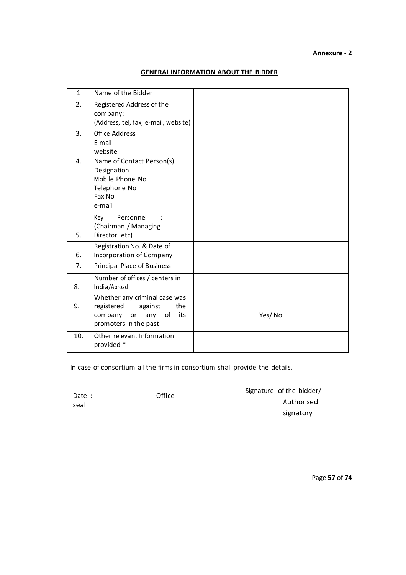# **GENERAL INFORMATION ABOUT THE BIDDER**

| $\mathbf{1}$ | Name of the Bidder                                                                                                              |        |
|--------------|---------------------------------------------------------------------------------------------------------------------------------|--------|
| 2.           | Registered Address of the<br>company:<br>(Address, tel, fax, e-mail, website)                                                   |        |
| 3.           | <b>Office Address</b><br>E-mail<br>website                                                                                      |        |
| 4.           | Name of Contact Person(s)<br>Designation<br>Mobile Phone No<br>Telephone No<br>Fax No<br>e-mail                                 |        |
| 5.           | Personnel<br>Key<br>(Chairman / Managing<br>Director, etc)                                                                      |        |
| 6.           | Registration No. & Date of<br>Incorporation of Company                                                                          |        |
| 7.           | Principal Place of Business                                                                                                     |        |
| 8.           | Number of offices / centers in<br>India/Abroad                                                                                  |        |
| 9.           | Whether any criminal case was<br>registered<br>against<br>the<br>$\circ$ f<br>any<br>its<br>company or<br>promoters in the past | Yes/No |
| 10.          | Other relevant Information<br>provided *                                                                                        |        |

In case of consortium all the firms in consortium shall provide the details.

Date : Contract of Date : Contract of Date in the Date of Date in the Date of Date in the Date in the Date in the Date in the Date in the Date in the Date in the Date in the Date in the Date in the Date in the Date in the seal

Signature of the bidder/ Authorised signatory

Page **57** of **74**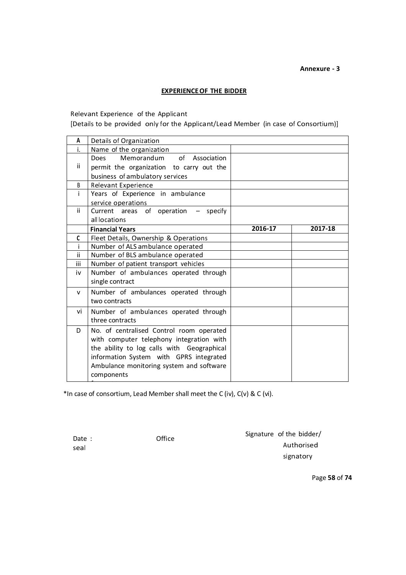## **EXPERIENCE OF THE BIDDER**

Relevant Experience of the Applicant

[Details to be provided only for the Applicant/Lead Member (in case of Consortium)]

| A            | Details of Organization                    |         |         |
|--------------|--------------------------------------------|---------|---------|
| i.           | Name of the organization                   |         |         |
|              | Memorandum of Association<br>Does          |         |         |
| ii           | permit the organization to carry out the   |         |         |
|              | business of ambulatory services            |         |         |
| B            | Relevant Experience                        |         |         |
| i.           | Years of Experience in ambulance           |         |         |
|              | service operations                         |         |         |
| ii.          | Current areas of operation - specify       |         |         |
|              | all locations                              |         |         |
|              | <b>Financial Years</b>                     | 2016-17 | 2017-18 |
| C            | Fleet Details, Ownership & Operations      |         |         |
|              | Number of ALS ambulance operated           |         |         |
| ii           | Number of BLS ambulance operated           |         |         |
| iii          | Number of patient transport vehicles       |         |         |
| iv           | Number of ambulances operated through      |         |         |
|              | single contract                            |         |         |
| $\mathsf{v}$ | Number of ambulances operated through      |         |         |
|              | two contracts                              |         |         |
| vi           | Number of ambulances operated through      |         |         |
|              | three contracts                            |         |         |
| D            | No. of centralised Control room operated   |         |         |
|              | with computer telephony integration with   |         |         |
|              | the ability to log calls with Geographical |         |         |
|              | information System with GPRS integrated    |         |         |
|              | Ambulance monitoring system and software   |         |         |
|              | components                                 |         |         |
|              |                                            |         |         |

\*In case of consortium, Lead Member shall meet the C (iv), C(v) & C (vi).

seal

Date : Contract of Date :

Signature of the bidder/ Authorised signatory

Page **58** of **74**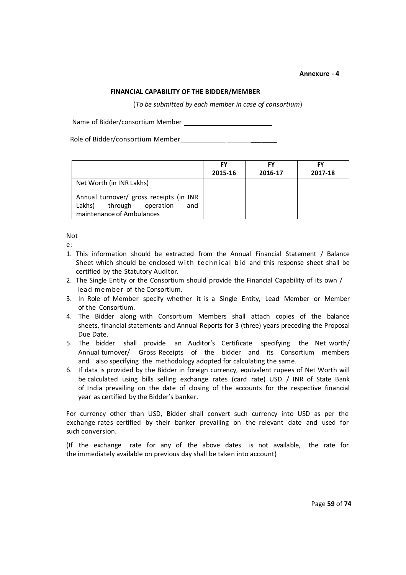## **FINANCIAL CAPABILITY OF THE BIDDER/MEMBER**

(*To be submitted by each member in case of consortium*)

Name of Bidder/consortium Member

Role of Bidder/consortium Member

|                                                                                                               | FY<br>2015-16 | FY<br>2016-17 | 2017-18 |
|---------------------------------------------------------------------------------------------------------------|---------------|---------------|---------|
| Net Worth (in INR Lakhs)                                                                                      |               |               |         |
| Annual turnover/ gross receipts (in INR<br>Lakhs)<br>through<br>operation<br>and<br>maintenance of Ambulances |               |               |         |

## Not

e:

- 1. This information should be extracted from the Annual Financial Statement / Balance Sheet which should be enclosed with technical bid and this response sheet shall be certified by the Statutory Auditor.
- 2. The Single Entity or the Consortium should provide the Financial Capability of its own / lead member of the Consortium.
- 3. In Role of Member specify whether it is a Single Entity, Lead Member or Member of the Consortium.
- 4. The Bidder along with Consortium Members shall attach copies of the balance sheets, financial statements and Annual Reports for 3 (three) years preceding the Proposal Due Date.
- 5. The bidder shall provide an Auditor's Certificate specifying the Net worth/ Annual turnover/ Gross Receipts of the bidder and its Consortium members and also specifying the methodology adopted for calculating the same.
- 6. If data is provided by the Bidder in foreign currency, equivalent rupees of Net Worth will be calculated using bills selling exchange rates (card rate) USD / INR of State Bank of India prevailing on the date of closing of the accounts for the respective financial year as certified by the Bidder's banker.

For currency other than USD, Bidder shall convert such currency into USD as per the exchange rates certified by their banker prevailing on the relevant date and used for such conversion.

(If the exchange rate for any of the above dates is not available, the rate for the immediately available on previous day shall be taken into account)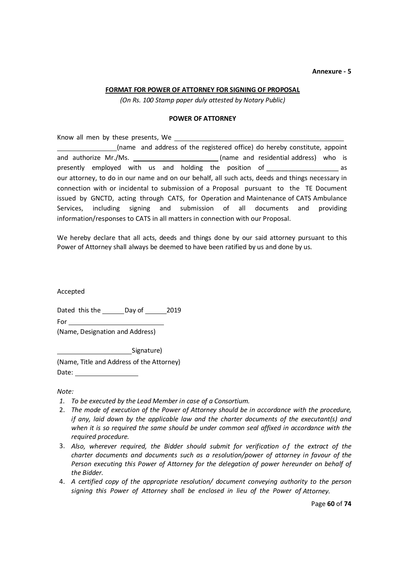#### **FORMAT FOR POWER OF ATTORNEY FOR SIGNING OF PROPOSAL**

*(On Rs. 100 Stamp paper duly attested by Notary Public)*

#### **POWER OF ATTORNEY**

Know all men by these presents, We (name and address of the registered office) do hereby constitute, appoint and authorize Mr./Ms. (name and residential address) who is presently employed with us and holding the position of \_\_\_\_\_\_\_\_\_\_\_\_\_\_\_\_\_\_\_\_\_\_\_\_\_ as our attorney, to do in our name and on our behalf, all such acts, deeds and things necessary in connection with or incidental to submission of a Proposal pursuant to the TE Document issued by GNCTD, acting through CATS, for Operation and Maintenance of CATS Ambulance Services, including signing and submission of all documents and providing information/responses to CATS in all matters in connection with our Proposal.

We hereby declare that all acts, deeds and things done by our said attorney pursuant to this Power of Attorney shall always be deemed to have been ratified by us and done by us.

Accepted

Dated this the Day of 2019

For services and the services of the series of the series of the series of the series of the series of the series of the series of the series of the series of the series of the series of the series of the series of the ser

(Name, Designation and Address)

Signature)

(Name, Title and Address of the Attorney) Date:

*Note:*

- *1. To be executed by the Lead Member in case of a Consortium.*
- 2. *The mode of execution of the Power of Attorney should be in accordance with the procedure, if any, laid down by the applicable law and the charter documents of the executant(s) and when it is so required the same should be under common seal affixed in accordance with the required procedure.*
- 3. Also, wherever required, the Bidder should submit for verification of the extract of the *charter documents and documents such as a resolution/power of attorney in favour of the Person executing this Power of Attorney for the delegation of power hereunder on behalf of the Bidder.*
- 4. *A certified copy of the appropriate resolution/ document conveying authority to the person signing this Power of Attorney shall be enclosed in lieu of the Power of Attorney.*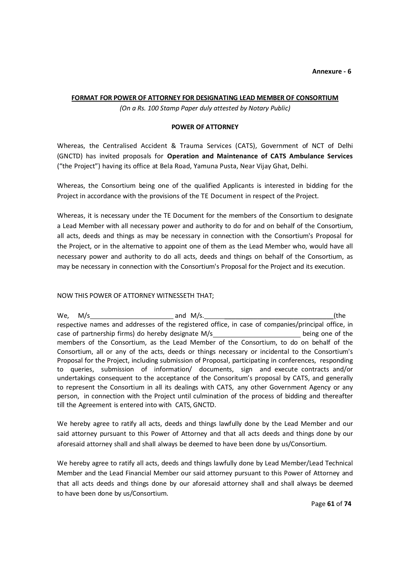## **FORMAT FOR POWER OF ATTORNEY FOR DESIGNATING LEAD MEMBER OF CONSORTIUM**

*(On a Rs. 100 Stamp Paper duly attested by Notary Public)*

## **POWER OF ATTORNEY**

Whereas, the Centralised Accident & Trauma Services (CATS), Government of NCT of Delhi (GNCTD) has invited proposals for **Operation and Maintenance of CATS Ambulance Services**  ("the Project") having its office at Bela Road, Yamuna Pusta, Near Vijay Ghat, Delhi.

Whereas, the Consortium being one of the qualified Applicants is interested in bidding for the Project in accordance with the provisions of the TE Document in respect of the Project.

Whereas, it is necessary under the TE Document for the members of the Consortium to designate a Lead Member with all necessary power and authority to do for and on behalf of the Consortium, all acts, deeds and things as may be necessary in connection with the Consortium's Proposal for the Project, or in the alternative to appoint one of them as the Lead Member who, would have all necessary power and authority to do all acts, deeds and things on behalf of the Consortium, as may be necessary in connection with the Consortium's Proposal for the Project and its execution.

#### NOW THIS POWER OF ATTORNEY WITNESSETH THAT;

We,  $M/s$  (the respective names and addresses of the registered office, in case of companies/principal office, in case of partnership firms) do hereby designate M/s being one of the members of the Consortium, as the Lead Member of the Consortium, to do on behalf of the Consortium, all or any of the acts, deeds or things necessary or incidental to the Consortium's Proposal for the Project, including submission of Proposal, participating in conferences, responding to queries, submission of information/ documents, sign and execute contracts and/or undertakings consequent to the acceptance of the Consoritum's proposal by CATS, and generally to represent the Consortium in all its dealings with CATS, any other Government Agency or any person, in connection with the Project until culmination of the process of bidding and thereafter till the Agreement is entered into with CATS, GNCTD.

We hereby agree to ratify all acts, deeds and things lawfully done by the Lead Member and our said attorney pursuant to this Power of Attorney and that all acts deeds and things done by our aforesaid attorney shall and shall always be deemed to have been done by us/Consortium.

We hereby agree to ratify all acts, deeds and things lawfully done by Lead Member/Lead Technical Member and the Lead Financial Member our said attorney pursuant to this Power of Attorney and that all acts deeds and things done by our aforesaid attorney shall and shall always be deemed to have been done by us/Consortium.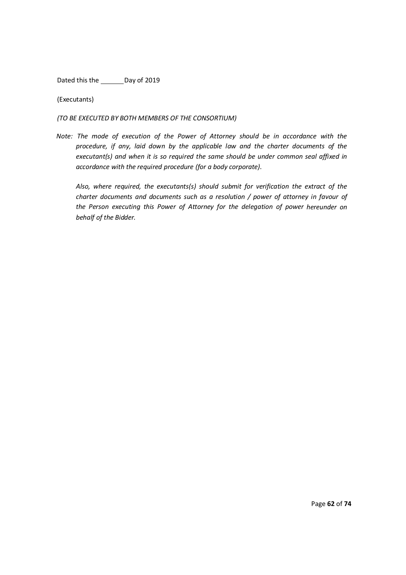Dated this the Day of 2019

(Executants)

*(TO BE EXECUTED BY BOTH MEMBERS OF THE CONSORTIUM)*

*Note: The mode of execution of the Power of Attorney should be in accordance with the procedure, if any, laid down by the applicable law and the charter documents of the executant(s) and when it is so required the same should be under common seal affixed in accordance with the required procedure (for a body corporate)*.

*Also, where required, the executants(s) should submit for verification the extract of the charter documents and documents such as a resolution / power of attorney in favour of the Person executing this Power of Attorney for the delegation of power hereunder on behalf of the Bidder.*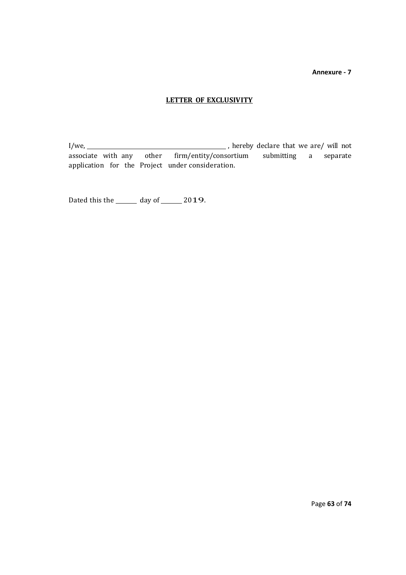## **LETTER OF EXCLUSIVITY**

I/we, , hereby declare that we are/ will not associate with any other firm/entity/consortium submitting a separate application for the Project under consideration.

Dated this the  $\frac{1}{2019}$  day of  $\frac{2019}{2019}$ .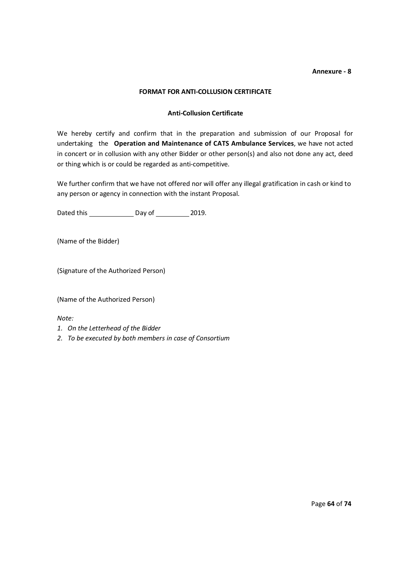## **FORMAT FOR ANTI-COLLUSION CERTIFICATE**

## **Anti-Collusion Certificate**

We hereby certify and confirm that in the preparation and submission of our Proposal for undertaking the **Operation and Maintenance of CATS Ambulance Services**, we have not acted in concert or in collusion with any other Bidder or other person(s) and also not done any act, deed or thing which is or could be regarded as anti-competitive.

We further confirm that we have not offered nor will offer any illegal gratification in cash or kind to any person or agency in connection with the instant Proposal.

Dated this Day of 2019.

(Name of the Bidder)

(Signature of the Authorized Person)

(Name of the Authorized Person)

*Note:*

- *1. On the Letterhead of the Bidder*
- *2. To be executed by both members in case of Consortium*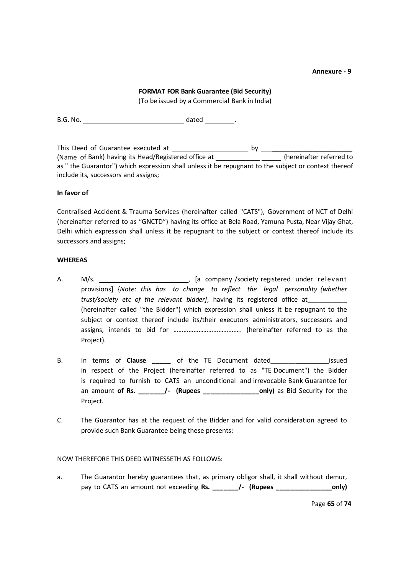#### **FORMAT FOR Bank Guarantee (Bid Security)**

(To be issued by a Commercial Bank in India)

B.G. No. dated .

This Deed of Guarantee executed at  $\underline{\qquad \qquad \qquad }$  by  $\underline{\qquad \qquad }$ (Name of Bank) having its Head/Registered office at \_\_\_\_\_\_\_\_\_\_\_\_\_\_\_\_\_(hereinafter referred to as " the Guarantor") which expression shall unless it be repugnant to the subject or context thereof include its, successors and assigns;

## **In favor of**

Centralised Accident & Trauma Services (hereinafter called "CATS"), Government of NCT of Delhi (hereinafter referred to as "GNCTD") having its office at Bela Road, Yamuna Pusta, Near Vijay Ghat, Delhi which expression shall unless it be repugnant to the subject or context thereof include its successors and assigns;

#### **WHEREAS**

- A. M/s. , [a company /society registered under relevant provisions] {*Note: this has to change to reflect the legal personality (whether trust/society etc of the relevant bidder]*, having its registered office at\_\_\_\_\_\_\_\_\_\_\_ (hereinafter called "the Bidder") which expression shall unless it be repugnant to the subject or context thereof include its/their executors administrators, successors and assigns, intends to bid for ………………………………….. (hereinafter referred to as the Project).
- B. In terms of **Clause \_\_\_\_\_** of the TE Document dated\_\_\_\_\_\_\_ issued in respect of the Project (hereinafter referred to as "TE Document") the Bidder is required to furnish to CATS an unconditional and irrevocable Bank Guarantee for an amount **of Rs. \_\_\_\_\_\_\_/- (Rupees \_\_\_\_\_\_\_\_\_\_\_\_\_\_\_only)** as Bid Security for the Project.
- C. The Guarantor has at the request of the Bidder and for valid consideration agreed to provide such Bank Guarantee being these presents:

#### NOW THEREFORE THIS DEED WITNESSETH AS FOLLOWS:

a. The Guarantor hereby guarantees that, as primary obligor shall, it shall without demur, pay to CATS an amount not exceeding **Rs. \_\_\_\_\_\_\_/- (Rupees \_\_\_\_\_\_\_\_\_\_\_\_\_\_\_only)** 

Page **65** of **74**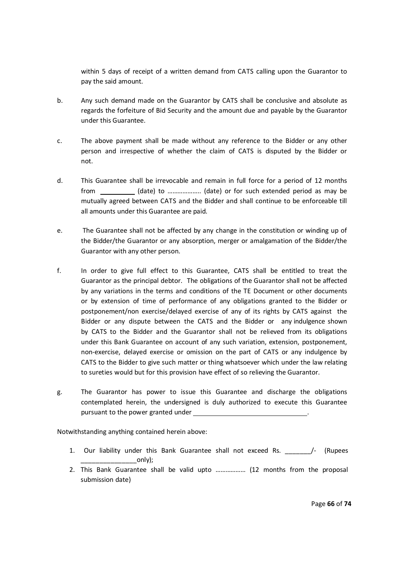within 5 days of receipt of a written demand from CATS calling upon the Guarantor to pay the said amount.

- b. Any such demand made on the Guarantor by CATS shall be conclusive and absolute as regards the forfeiture of Bid Security and the amount due and payable by the Guarantor under this Guarantee.
- c. The above payment shall be made without any reference to the Bidder or any other person and irrespective of whether the claim of CATS is disputed by the Bidder or not.
- d. This Guarantee shall be irrevocable and remain in full force for a period of 12 months from (date) to ……………….. (date) or for such extended period as may be mutually agreed between CATS and the Bidder and shall continue to be enforceable till all amounts under this Guarantee are paid.
- e. The Guarantee shall not be affected by any change in the constitution or winding up of the Bidder/the Guarantor or any absorption, merger or amalgamation of the Bidder/the Guarantor with any other person.
- f. In order to give full effect to this Guarantee, CATS shall be entitled to treat the Guarantor as the principal debtor. The obligations of the Guarantor shall not be affected by any variations in the terms and conditions of the TE Document or other documents or by extension of time of performance of any obligations granted to the Bidder or postponement/non exercise/delayed exercise of any of its rights by CATS against the Bidder or any dispute between the CATS and the Bidder or any indulgence shown by CATS to the Bidder and the Guarantor shall not be relieved from its obligations under this Bank Guarantee on account of any such variation, extension, postponement, non-exercise, delayed exercise or omission on the part of CATS or any indulgence by CATS to the Bidder to give such matter or thing whatsoever which under the law relating to sureties would but for this provision have effect of so relieving the Guarantor.
- g. The Guarantor has power to issue this Guarantee and discharge the obligations contemplated herein, the undersigned is duly authorized to execute this Guarantee pursuant to the power granted under

Notwithstanding anything contained herein above:

- 1. Our liability under this Bank Guarantee shall not exceed Rs. \_\_\_\_\_\_\_/- (Rupees only);
- 2. This Bank Guarantee shall be valid upto ……………… (12 months from the proposal submission date)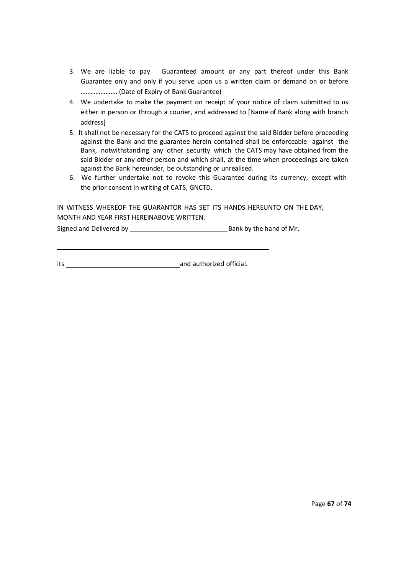- 3. We are liable to pay Guaranteed amount or any part thereof under this Bank Guarantee only and only if you serve upon us a written claim or demand on or before …………………. (Date of Expiry of Bank Guarantee)
- 4. We undertake to make the payment on receipt of your notice of claim submitted to us either in person or through a courier, and addressed to [Name of Bank along with branch address]
- 5. It shall not be necessary for the CATS to proceed against the said Bidder before proceeding against the Bank and the guarantee herein contained shall be enforceable against the Bank, notwithstanding any other security which the CATS may have obtained from the said Bidder or any other person and which shall, at the time when proceedings are taken against the Bank hereunder, be outstanding or unrealised.
- 6. We further undertake not to revoke this Guarantee during its currency, except with the prior consent in writing of CATS, GNCTD.

IN WITNESS WHEREOF THE GUARANTOR HAS SET ITS HANDS HEREUNTO ON THE DAY, MONTH AND YEAR FIRST HEREINABOVE WRITTEN.

Signed and Delivered by Bank by the hand of Mr.

its and authorized official.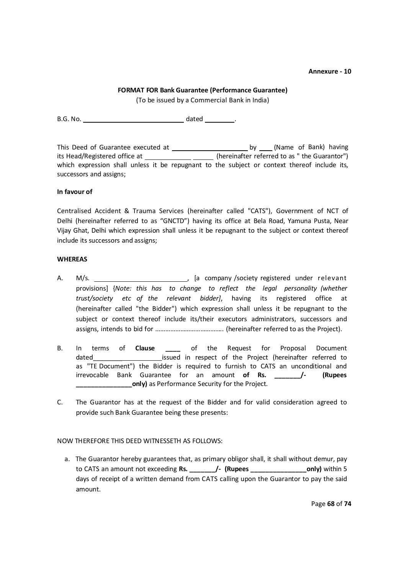## **FORMAT FOR Bank Guarantee (Performance Guarantee)**

(To be issued by a Commercial Bank in India)

B.G. No. dated .

This Deed of Guarantee executed at by (Name of Bank) having its Head/Registered office at \_\_\_\_\_\_\_\_\_\_\_\_\_\_\_\_\_\_ (hereinafter referred to as " the Guarantor") which expression shall unless it be repugnant to the subject or context thereof include its, successors and assigns;

## **In favour of**

Centralised Accident & Trauma Services (hereinafter called "CATS"), Government of NCT of Delhi (hereinafter referred to as "GNCTD") having its office at Bela Road, Yamuna Pusta, Near Vijay Ghat, Delhi which expression shall unless it be repugnant to the subject or context thereof include its successors and assigns;

# **WHEREAS**

- A. M/s. , [a company /society registered under relevant provisions] {*Note: this has to change to reflect the legal personality (whether trust/society etc of the relevant bidder]*, having its registered office at (hereinafter called "the Bidder") which expression shall unless it be repugnant to the subject or context thereof include its/their executors administrators, successors and assigns, intends to bid for ………………………………….. (hereinafter referred to as the Project).
- B. In terms of **Clause \_\_\_\_** of the Request for Proposal Document dated dated in respect of the Project (hereinafter referred to as "TE Document") the Bidder is required to furnish to CATS an unconditional and irrevocable Bank Guarantee for an amount **of Rs. \_\_\_\_\_\_\_/- (Rupees \_\_\_\_\_\_\_\_\_\_\_\_\_\_\_only)** as Performance Security for the Project.
- C. The Guarantor has at the request of the Bidder and for valid consideration agreed to provide such Bank Guarantee being these presents:

# NOW THEREFORE THIS DEED WITNESSETH AS FOLLOWS:

a. The Guarantor hereby guarantees that, as primary obligor shall, it shall without demur, pay to CATS an amount not exceeding **Rs. \_\_\_\_\_\_\_/- (Rupees \_\_\_\_\_\_\_\_\_\_\_\_\_\_\_only)** within 5 days of receipt of a written demand from CATS calling upon the Guarantor to pay the said amount.

Page **68** of **74**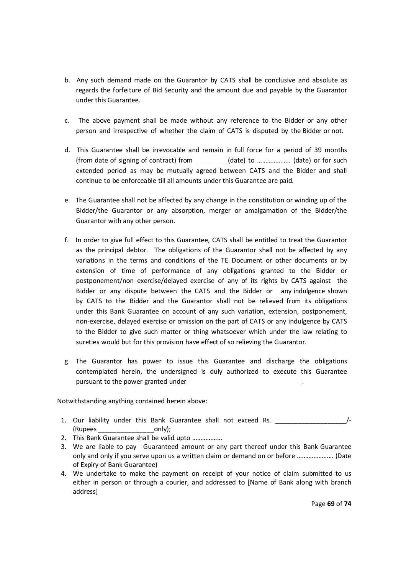- b. Any such demand made on the Guarantor by CATS shall be conclusive and absolute as regards the forfeiture of Bid Security and the amount due and payable by the Guarantor under this Guarantee.
- c. The above payment shall be made without any reference to the Bidder or any other person and irrespective of whether the claim of CATS is disputed by the Bidder or not.
- d. This Guarantee shall be irrevocable and remain in full force for a period of 39 months (from date of signing of contract) from (date) to ……………….. (date) or for such extended period as may be mutually agreed between CATS and the Bidder and shall continue to be enforceable till all amounts under this Guarantee are paid.
- e. The Guarantee shall not be affected by any change in the constitution or winding up of the Bidder/the Guarantor or any absorption, merger or amalgamation of the Bidder/the Guarantor with any other person.
- f. In order to give full effect to this Guarantee, CATS shall be entitled to treat the Guarantor as the principal debtor. The obligations of the Guarantor shall not be affected by any variations in the terms and conditions of the TE Document or other documents or by extension of time of performance of any obligations granted to the Bidder or postponement/non exercise/delayed exercise of any of its rights by CATS against the Bidder or any dispute between the CATS and the Bidder or any indulgence shown by CATS to the Bidder and the Guarantor shall not be relieved from its obligations under this Bank Guarantee on account of any such variation, extension, postponement, non-exercise, delayed exercise or omission on the part of CATS or any indulgence by CATS to the Bidder to give such matter or thing whatsoever which under the law relating to sureties would but for this provision have effect of so relieving the Guarantor.
- g. The Guarantor has power to issue this Guarantee and discharge the obligations contemplated herein, the undersigned is duly authorized to execute this Guarantee pursuant to the power granted under

Notwithstanding anything contained herein above:

- 1. Our liability under this Bank Guarantee shall not exceed Rs. (Rupees \_\_\_\_\_\_\_\_\_\_\_\_\_\_\_only);
- 2. This Bank Guarantee shall be valid upto ………………
- 3. We are liable to pay Guaranteed amount or any part thereof under this Bank Guarantee only and only if you serve upon us a written claim or demand on or before …………………. (Date of Expiry of Bank Guarantee)
- 4. We undertake to make the payment on receipt of your notice of claim submitted to us either in person or through a courier, and addressed to [Name of Bank along with branch address]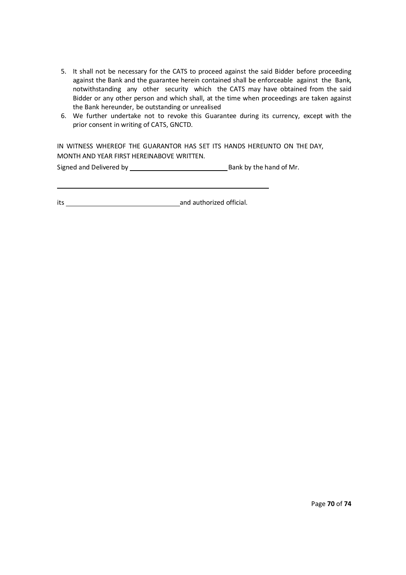- 5. It shall not be necessary for the CATS to proceed against the said Bidder before proceeding against the Bank and the guarantee herein contained shall be enforceable against the Bank, notwithstanding any other security which the CATS may have obtained from the said Bidder or any other person and which shall, at the time when proceedings are taken against the Bank hereunder, be outstanding or unrealised
- 6. We further undertake not to revoke this Guarantee during its currency, except with the prior consent in writing of CATS, GNCTD.

IN WITNESS WHEREOF THE GUARANTOR HAS SET ITS HANDS HEREUNTO ON THE DAY, MONTH AND YEAR FIRST HEREINABOVE WRITTEN.

Signed and Delivered by Bank by the hand of Mr.

its and authorized official.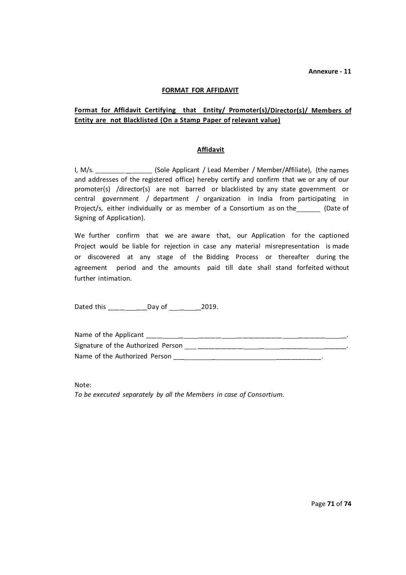## **FORMAT FOR AFFIDAVIT**

# **Format for Affidavit Certifying that Entity/ Promoter(s)/Director(s)/ Members of** Entity are not Blacklisted (On a Stamp Paper of relevant value)

#### **Affidavit**

I, M/s. \_\_\_\_\_\_\_\_ \_\_\_\_\_\_ (Sole Applicant / Lead Member / Member/Affiliate), (the names and addresses of the registered office) hereby certify and confirm that we or any of our promoter(s) /director(s) are not barred or blacklisted by any state government or central government / department / organization in India from participating in Project/s, either individually or as member of a Consortium as on the [15] (Date of Signing of Application).

We further confirm that we are aware that, our Application for the captioned Project would be liable for rejection in case any material misrepresentation is made or discovered at any stage of the Bidding Process or thereafter during the agreement period and the amounts paid till date shall stand forfeited without further intimation.

Dated this \_\_\_\_\_\_\_\_\_\_\_\_Day of \_\_\_\_\_\_\_\_\_\_\_\_2019.

| Name of the Applicant              |  |
|------------------------------------|--|
| Signature of the Authorized Person |  |
| Name of the Authorized Person      |  |

Note:

*To be executed separately by all the Members in case of Consortium.*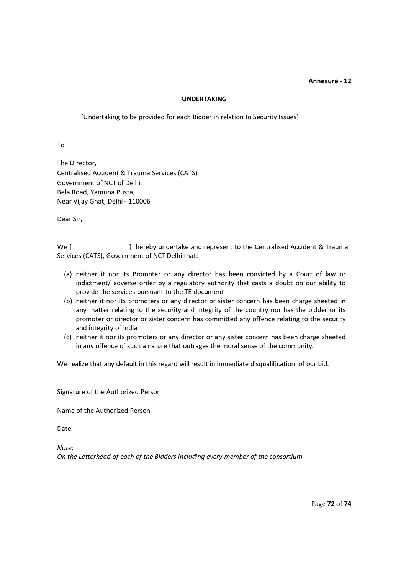#### **UNDERTAKING**

[Undertaking to be provided for each Bidder in relation to Security Issues]

To

The Director, Centralised Accident & Trauma Services (CATS) Government of NCT of Delhi Bela Road, Yamuna Pusta, Near Vijay Ghat, Delhi - 110006

Dear Sir,

We [ ] hereby undertake and represent to the Centralised Accident & Trauma Services (CATS), Government of NCT Delhi that:

- (a) neither it nor its Promoter or any director has been convicted by a Court of law or indictment/ adverse order by a regulatory authority that casts a doubt on our ability to provide the services pursuant to the TE document
- (b) neither it nor its promoters or any director or sister concern has been charge sheeted in any matter relating to the security and integrity of the country nor has the bidder or its promoter or director or sister concern has committed any offence relating to the security and integrity of India
- (c) neither it nor its promoters or any director or any sister concern has been charge sheeted in any offence of such a nature that outrages the moral sense of the community.

We realize that any default in this regard will result in immediate disqualification of our bid.

Signature of the Authorized Person

Name of the Authorized Person

**Date** 

*Note:*

*On the Letterhead of each of the Bidders including every member of the consortium*

Page **72** of **74**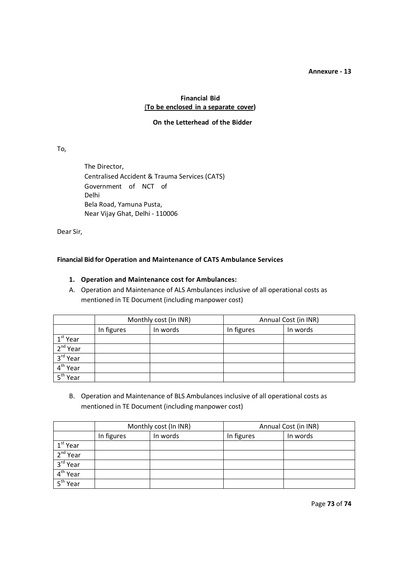#### **Annexure - 13**

# **Financial Bid** (**To be enclosed in a separate cover)**

#### **On the Letterhead of the Bidder**

# To,

The Director, Centralised Accident & Trauma Services (CATS) Government of NCT of Delhi Bela Road, Yamuna Pusta, Near Vijay Ghat, Delhi - 110006

Dear Sir,

# **Financial Bid for Operation and Maintenance of CATS Ambulance Services**

#### **1. Operation and Maintenance cost for Ambulances:**

A. Operation and Maintenance of ALS Ambulances inclusive of all operational costs as mentioned in TE Document (including manpower cost)

|                      | Monthly cost (In INR) |          | Annual Cost (in INR) |          |
|----------------------|-----------------------|----------|----------------------|----------|
|                      | In figures            | In words | In figures           | In words |
| $1st$ Year           |                       |          |                      |          |
| 2 <sup>nd</sup> Year |                       |          |                      |          |
| 3rd Year             |                       |          |                      |          |
| 4 <sup>th</sup> Year |                       |          |                      |          |
| 5 <sup>th</sup> Year |                       |          |                      |          |

B. Operation and Maintenance of BLS Ambulances inclusive of all operational costs as mentioned in TE Document (including manpower cost)

|                      | Monthly cost (In INR) |          | Annual Cost (in INR) |          |
|----------------------|-----------------------|----------|----------------------|----------|
|                      | In figures            | In words | In figures           | In words |
| $1st$ Year           |                       |          |                      |          |
| 2 <sup>nd</sup> Year |                       |          |                      |          |
| 3rd Year             |                       |          |                      |          |
| 4 <sup>th</sup> Year |                       |          |                      |          |
| $5^{\text{th}}$ Year |                       |          |                      |          |

Page **73** of **74**